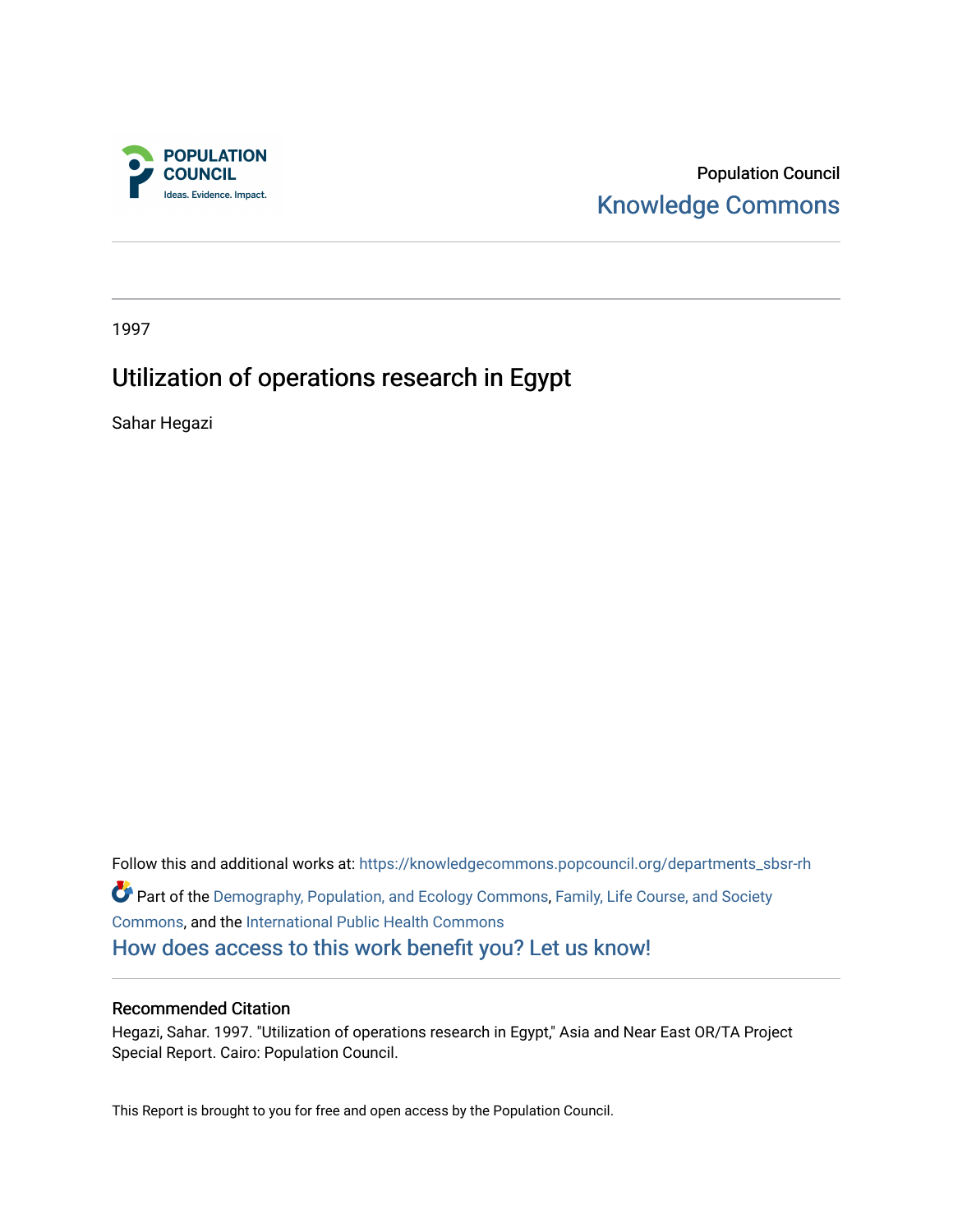

Population Council [Knowledge Commons](https://knowledgecommons.popcouncil.org/) 

1997

# Utilization of operations research in Egypt

Sahar Hegazi

Follow this and additional works at: [https://knowledgecommons.popcouncil.org/departments\\_sbsr-rh](https://knowledgecommons.popcouncil.org/departments_sbsr-rh?utm_source=knowledgecommons.popcouncil.org%2Fdepartments_sbsr-rh%2F2036&utm_medium=PDF&utm_campaign=PDFCoverPages)  Part of the [Demography, Population, and Ecology Commons,](https://network.bepress.com/hgg/discipline/418?utm_source=knowledgecommons.popcouncil.org%2Fdepartments_sbsr-rh%2F2036&utm_medium=PDF&utm_campaign=PDFCoverPages) [Family, Life Course, and Society](https://network.bepress.com/hgg/discipline/419?utm_source=knowledgecommons.popcouncil.org%2Fdepartments_sbsr-rh%2F2036&utm_medium=PDF&utm_campaign=PDFCoverPages)  [Commons](https://network.bepress.com/hgg/discipline/419?utm_source=knowledgecommons.popcouncil.org%2Fdepartments_sbsr-rh%2F2036&utm_medium=PDF&utm_campaign=PDFCoverPages), and the [International Public Health Commons](https://network.bepress.com/hgg/discipline/746?utm_source=knowledgecommons.popcouncil.org%2Fdepartments_sbsr-rh%2F2036&utm_medium=PDF&utm_campaign=PDFCoverPages) [How does access to this work benefit you? Let us know!](https://pcouncil.wufoo.com/forms/open-access-to-population-council-research/)

#### Recommended Citation

Hegazi, Sahar. 1997. "Utilization of operations research in Egypt," Asia and Near East OR/TA Project Special Report. Cairo: Population Council.

This Report is brought to you for free and open access by the Population Council.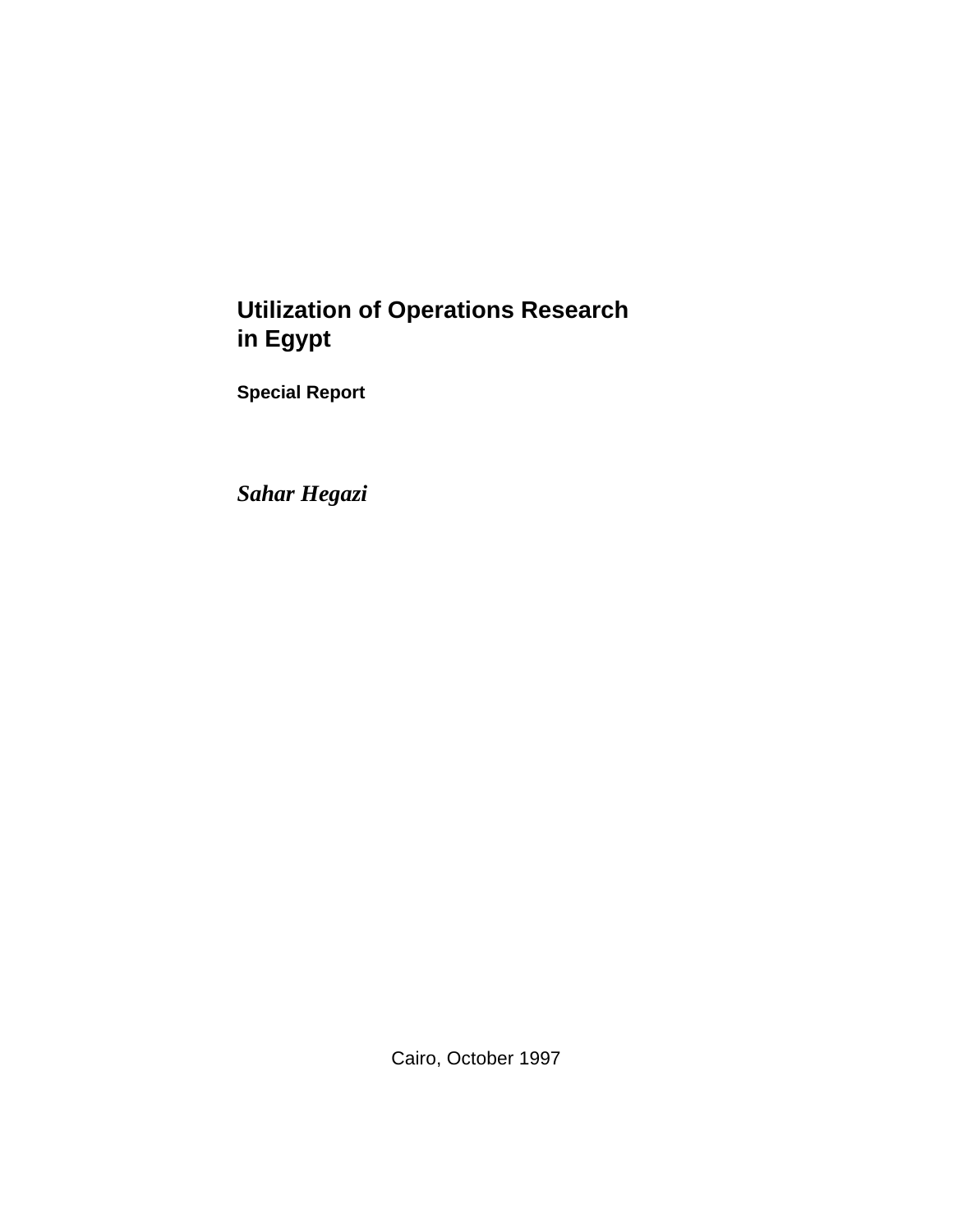# **Utilization of Operations Research in Egypt**

**Special Report**

*Sahar Hegazi*

Cairo, October 1997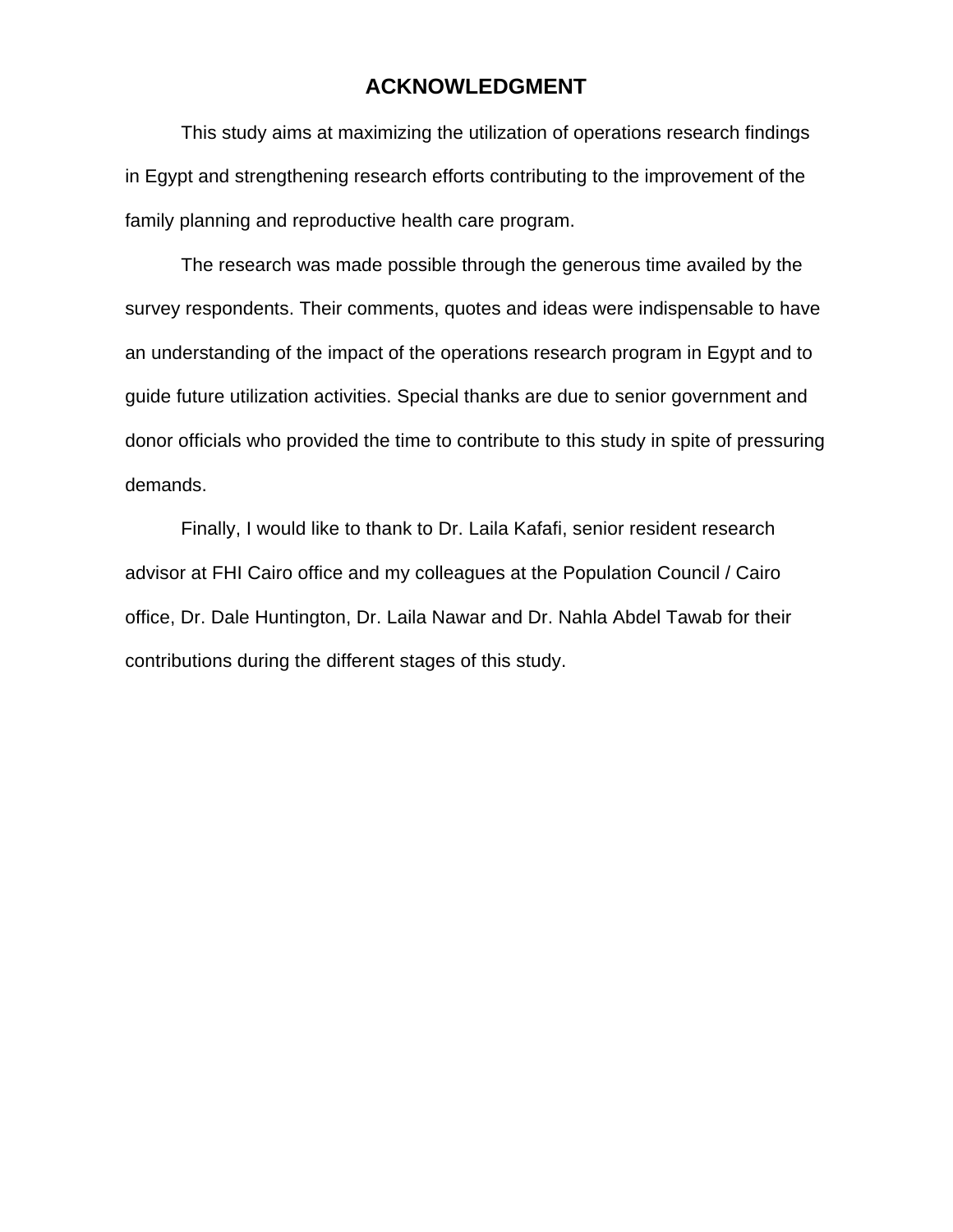### **ACKNOWLEDGMENT**

This study aims at maximizing the utilization of operations research findings in Egypt and strengthening research efforts contributing to the improvement of the family planning and reproductive health care program.

The research was made possible through the generous time availed by the survey respondents. Their comments, quotes and ideas were indispensable to have an understanding of the impact of the operations research program in Egypt and to guide future utilization activities. Special thanks are due to senior government and donor officials who provided the time to contribute to this study in spite of pressuring demands.

Finally, I would like to thank to Dr. Laila Kafafi, senior resident research advisor at FHI Cairo office and my colleagues at the Population Council / Cairo office, Dr. Dale Huntington, Dr. Laila Nawar and Dr. Nahla Abdel Tawab for their contributions during the different stages of this study.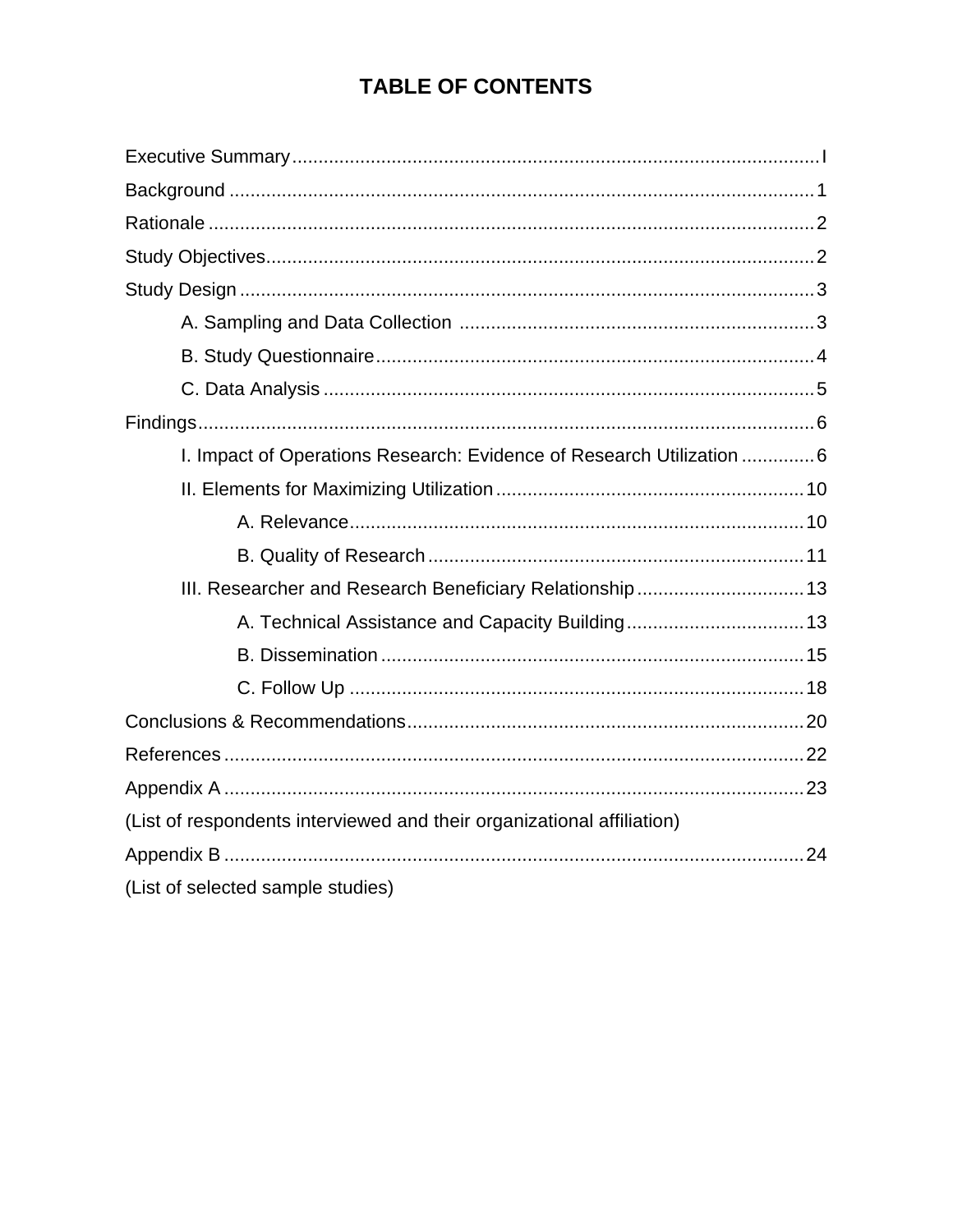# **TABLE OF CONTENTS**

| I. Impact of Operations Research: Evidence of Research Utilization  6  |  |
|------------------------------------------------------------------------|--|
|                                                                        |  |
|                                                                        |  |
|                                                                        |  |
| III. Researcher and Research Beneficiary Relationship 13               |  |
|                                                                        |  |
|                                                                        |  |
|                                                                        |  |
|                                                                        |  |
|                                                                        |  |
|                                                                        |  |
| (List of respondents interviewed and their organizational affiliation) |  |
|                                                                        |  |
| (List of selected sample studies)                                      |  |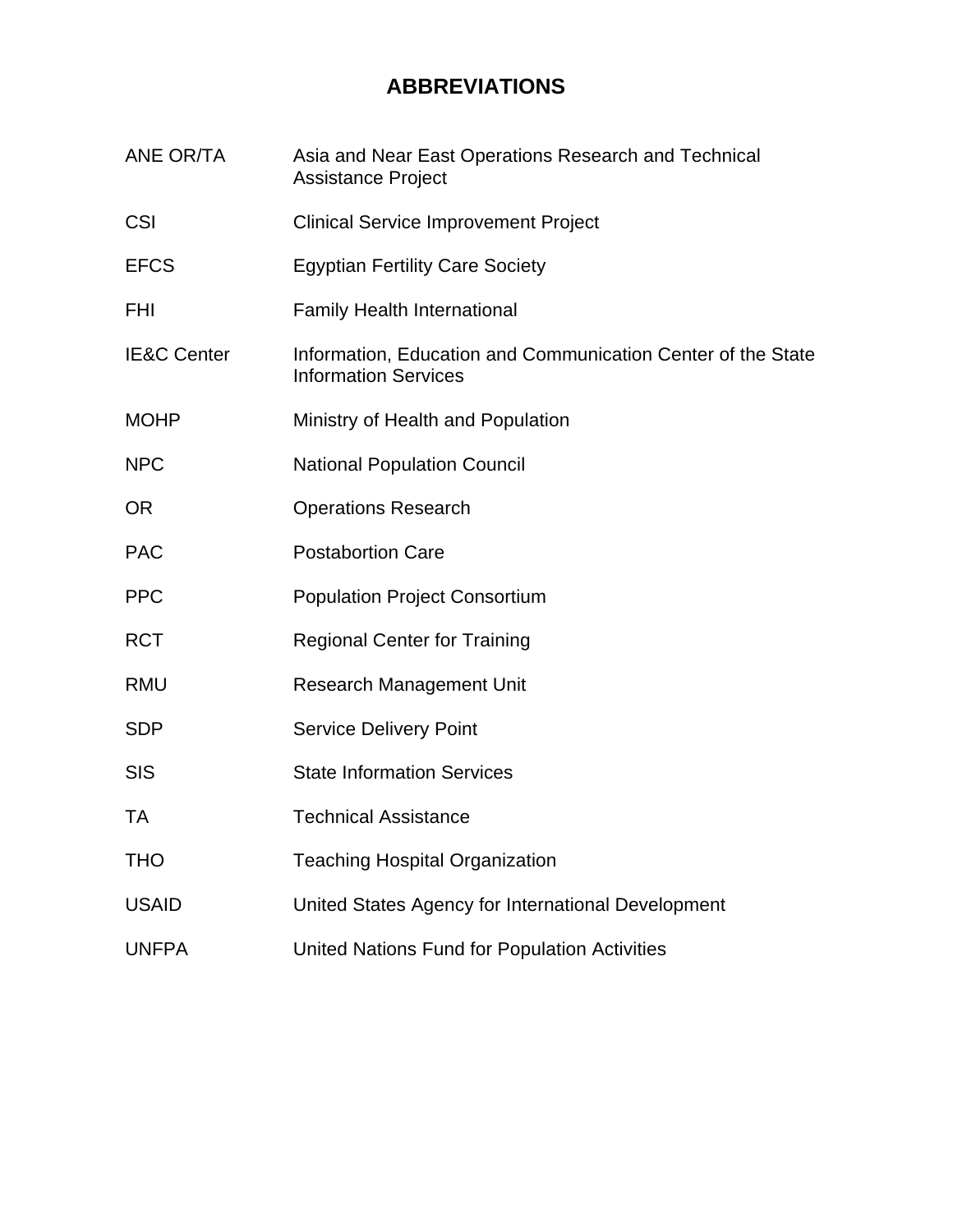# **ABBREVIATIONS**

ANE OR/TA Asia and Near East Operations Research and Technical Assistance Project CSI Clinical Service Improvement Project EFCS Egyptian Fertility Care Society FHI Family Health International IE&C Center Information, Education and Communication Center of the State Information Services MOHP Ministry of Health and Population NPC National Population Council OR **Operations Research** PAC Postabortion Care PPC Population Project Consortium RCT Regional Center for Training RMU Research Management Unit SDP Service Delivery Point SIS State Information Services TA Technical Assistance THO Teaching Hospital Organization USAID United States Agency for International Development UNFPA United Nations Fund for Population Activities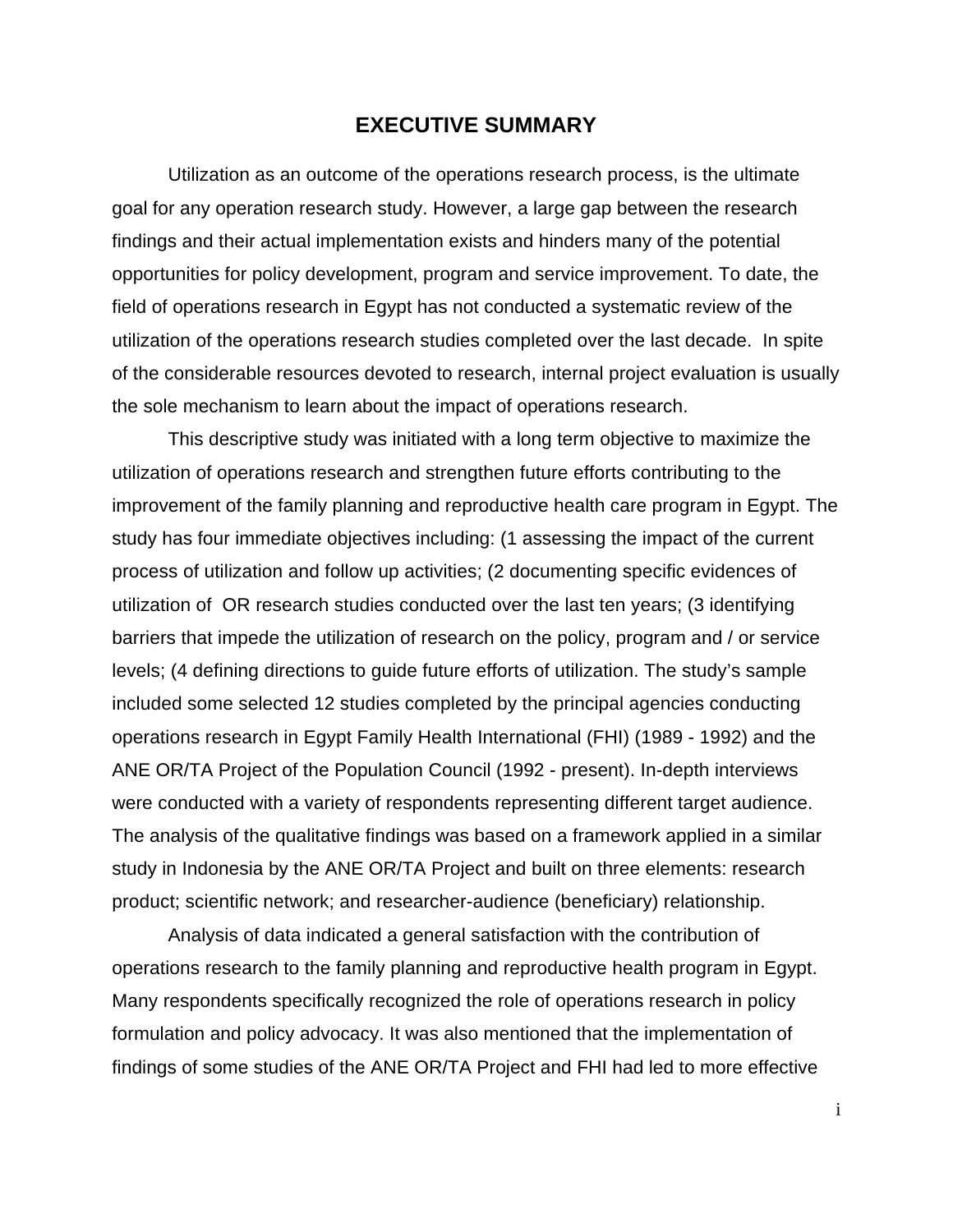### **EXECUTIVE SUMMARY**

Utilization as an outcome of the operations research process, is the ultimate goal for any operation research study. However, a large gap between the research findings and their actual implementation exists and hinders many of the potential opportunities for policy development, program and service improvement. To date, the field of operations research in Egypt has not conducted a systematic review of the utilization of the operations research studies completed over the last decade. In spite of the considerable resources devoted to research, internal project evaluation is usually the sole mechanism to learn about the impact of operations research.

This descriptive study was initiated with a long term objective to maximize the utilization of operations research and strengthen future efforts contributing to the improvement of the family planning and reproductive health care program in Egypt. The study has four immediate objectives including: (1 assessing the impact of the current process of utilization and follow up activities; (2 documenting specific evidences of utilization of OR research studies conducted over the last ten years; (3 identifying barriers that impede the utilization of research on the policy, program and / or service levels; (4 defining directions to guide future efforts of utilization. The study's sample included some selected 12 studies completed by the principal agencies conducting operations research in Egypt Family Health International (FHI) (1989 - 1992) and the ANE OR/TA Project of the Population Council (1992 - present). In-depth interviews were conducted with a variety of respondents representing different target audience. The analysis of the qualitative findings was based on a framework applied in a similar study in Indonesia by the ANE OR/TA Project and built on three elements: research product; scientific network; and researcher-audience (beneficiary) relationship.

Analysis of data indicated a general satisfaction with the contribution of operations research to the family planning and reproductive health program in Egypt. Many respondents specifically recognized the role of operations research in policy formulation and policy advocacy. It was also mentioned that the implementation of findings of some studies of the ANE OR/TA Project and FHI had led to more effective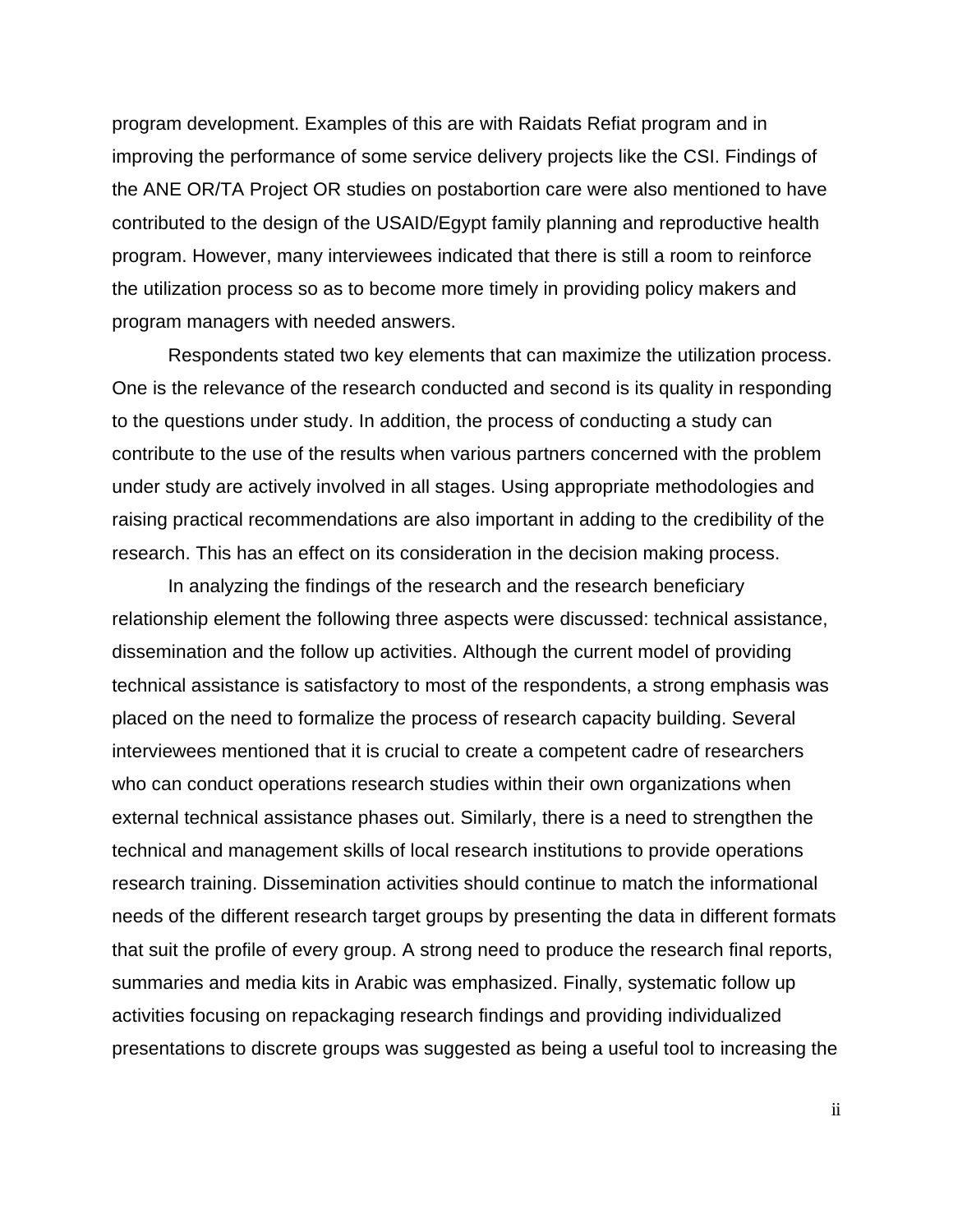program development. Examples of this are with Raidats Refiat program and in improving the performance of some service delivery projects like the CSI. Findings of the ANE OR/TA Project OR studies on postabortion care were also mentioned to have contributed to the design of the USAID/Egypt family planning and reproductive health program. However, many interviewees indicated that there is still a room to reinforce the utilization process so as to become more timely in providing policy makers and program managers with needed answers.

Respondents stated two key elements that can maximize the utilization process. One is the relevance of the research conducted and second is its quality in responding to the questions under study. In addition, the process of conducting a study can contribute to the use of the results when various partners concerned with the problem under study are actively involved in all stages. Using appropriate methodologies and raising practical recommendations are also important in adding to the credibility of the research. This has an effect on its consideration in the decision making process.

In analyzing the findings of the research and the research beneficiary relationship element the following three aspects were discussed: technical assistance, dissemination and the follow up activities. Although the current model of providing technical assistance is satisfactory to most of the respondents, a strong emphasis was placed on the need to formalize the process of research capacity building. Several interviewees mentioned that it is crucial to create a competent cadre of researchers who can conduct operations research studies within their own organizations when external technical assistance phases out. Similarly, there is a need to strengthen the technical and management skills of local research institutions to provide operations research training. Dissemination activities should continue to match the informational needs of the different research target groups by presenting the data in different formats that suit the profile of every group. A strong need to produce the research final reports, summaries and media kits in Arabic was emphasized. Finally, systematic follow up activities focusing on repackaging research findings and providing individualized presentations to discrete groups was suggested as being a useful tool to increasing the

ii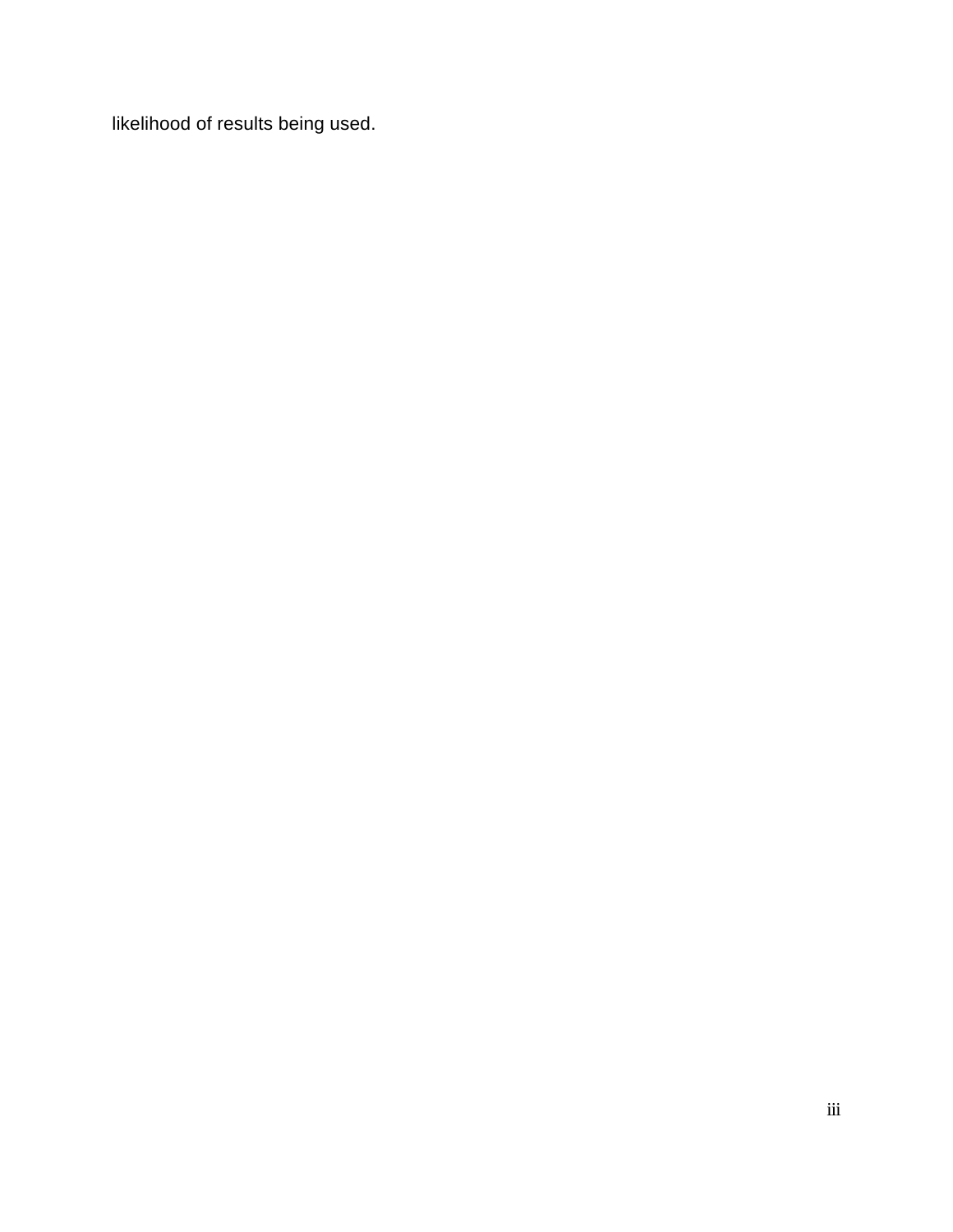likelihood of results being used.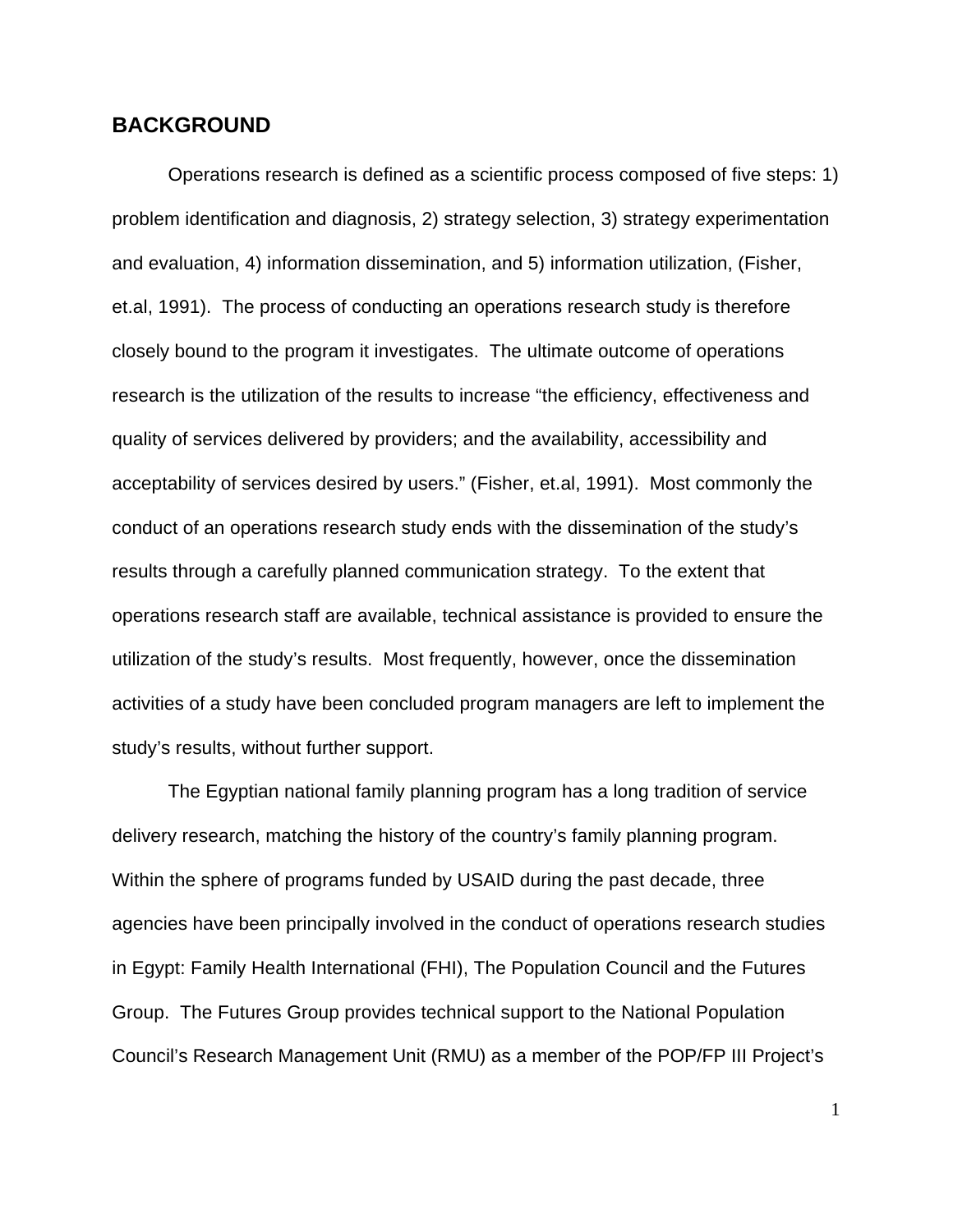#### **BACKGROUND**

Operations research is defined as a scientific process composed of five steps: 1) problem identification and diagnosis, 2) strategy selection, 3) strategy experimentation and evaluation, 4) information dissemination, and 5) information utilization, (Fisher, et.al, 1991). The process of conducting an operations research study is therefore closely bound to the program it investigates. The ultimate outcome of operations research is the utilization of the results to increase "the efficiency, effectiveness and quality of services delivered by providers; and the availability, accessibility and acceptability of services desired by users." (Fisher, et.al, 1991). Most commonly the conduct of an operations research study ends with the dissemination of the study's results through a carefully planned communication strategy. To the extent that operations research staff are available, technical assistance is provided to ensure the utilization of the study's results. Most frequently, however, once the dissemination activities of a study have been concluded program managers are left to implement the study's results, without further support.

The Egyptian national family planning program has a long tradition of service delivery research, matching the history of the country's family planning program. Within the sphere of programs funded by USAID during the past decade, three agencies have been principally involved in the conduct of operations research studies in Egypt: Family Health International (FHI), The Population Council and the Futures Group. The Futures Group provides technical support to the National Population Council's Research Management Unit (RMU) as a member of the POP/FP III Project's

1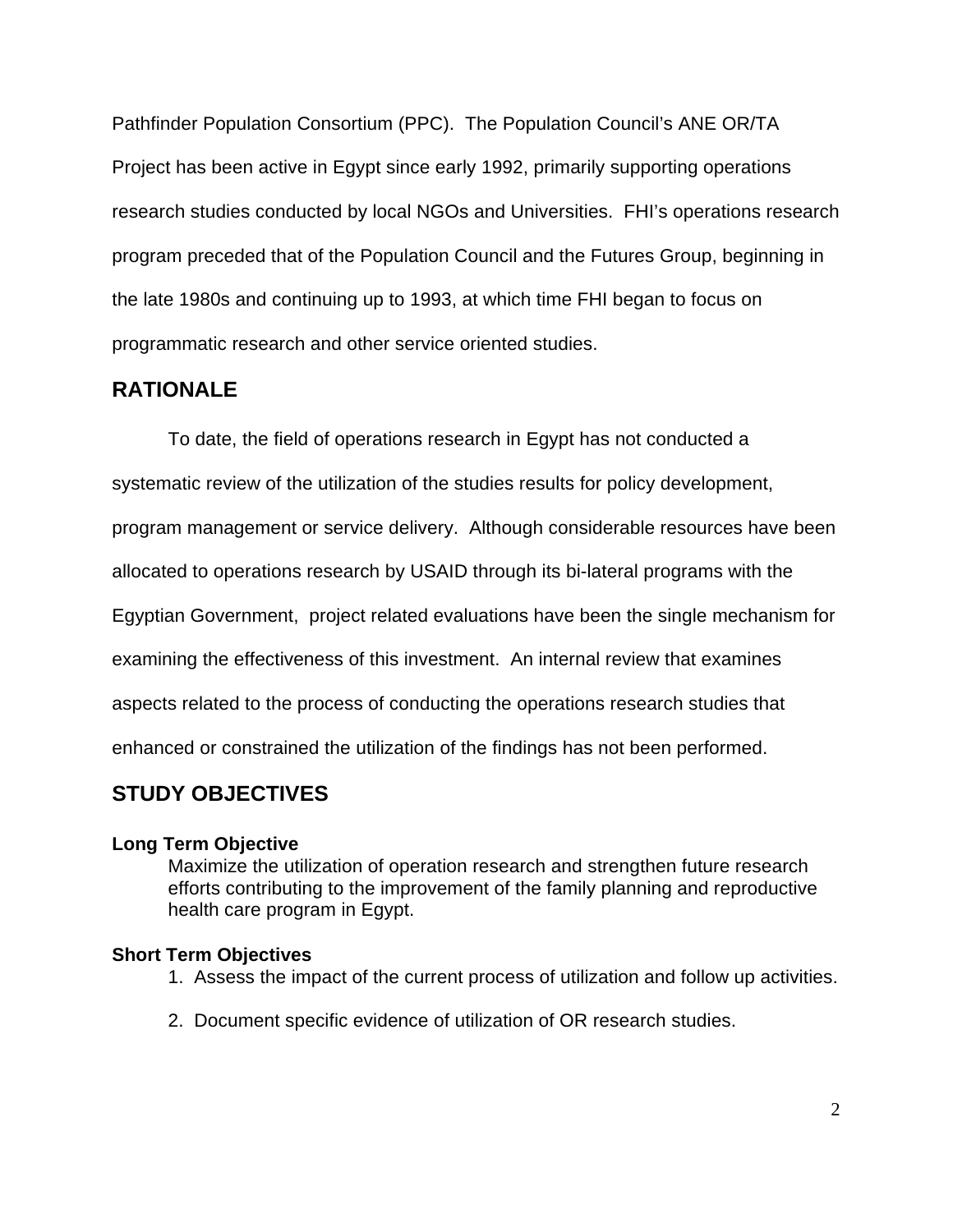Pathfinder Population Consortium (PPC). The Population Council's ANE OR/TA Project has been active in Egypt since early 1992, primarily supporting operations research studies conducted by local NGOs and Universities. FHI's operations research program preceded that of the Population Council and the Futures Group, beginning in the late 1980s and continuing up to 1993, at which time FHI began to focus on programmatic research and other service oriented studies.

### **RATIONALE**

To date, the field of operations research in Egypt has not conducted a systematic review of the utilization of the studies results for policy development, program management or service delivery. Although considerable resources have been allocated to operations research by USAID through its bi-lateral programs with the Egyptian Government, project related evaluations have been the single mechanism for examining the effectiveness of this investment. An internal review that examines aspects related to the process of conducting the operations research studies that enhanced or constrained the utilization of the findings has not been performed.

# **STUDY OBJECTIVES**

### **Long Term Objective**

Maximize the utilization of operation research and strengthen future research efforts contributing to the improvement of the family planning and reproductive health care program in Egypt.

### **Short Term Objectives**

- 1. Assess the impact of the current process of utilization and follow up activities.
- 2. Document specific evidence of utilization of OR research studies.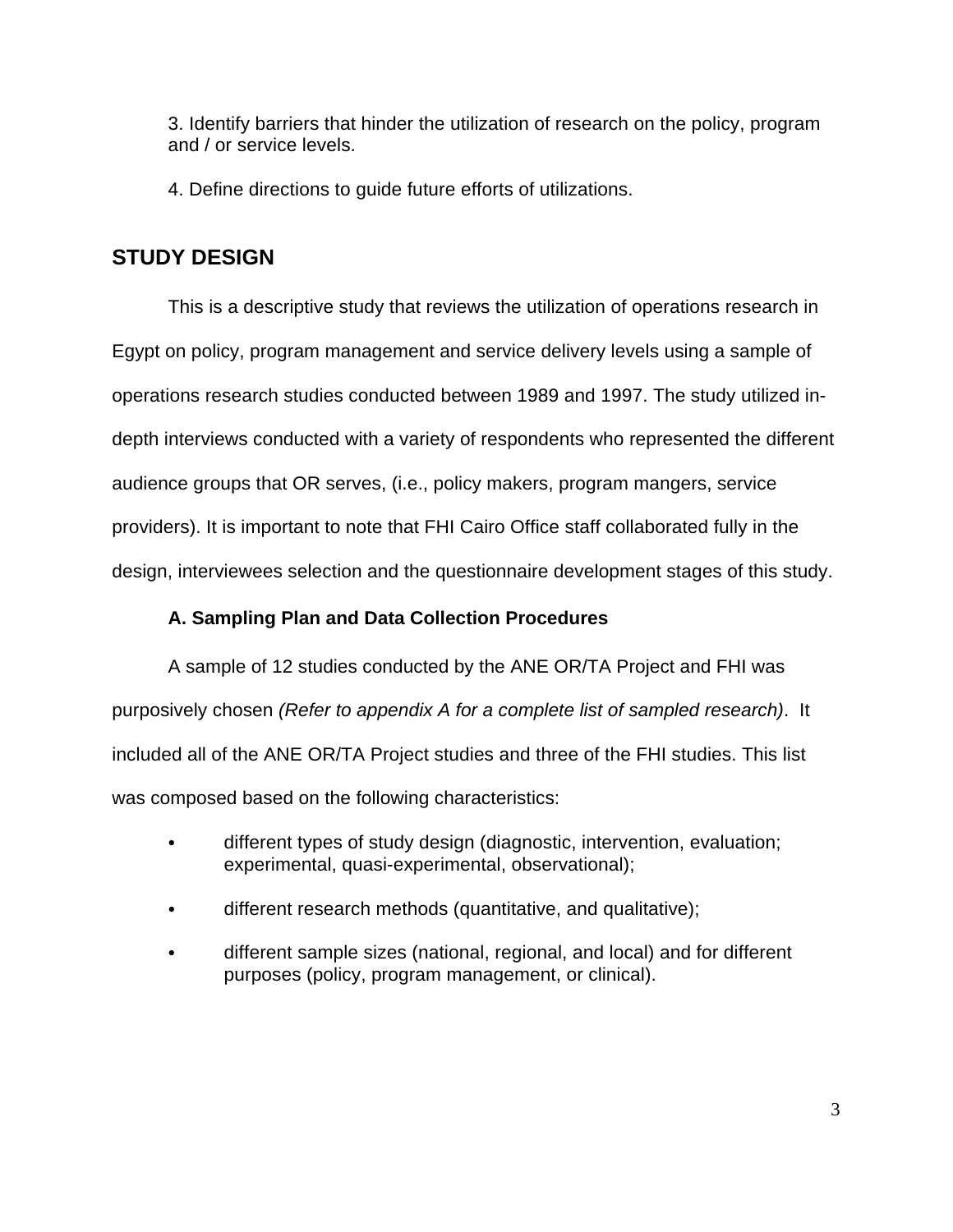3. Identify barriers that hinder the utilization of research on the policy, program and / or service levels.

4. Define directions to guide future efforts of utilizations.

# **STUDY DESIGN**

This is a descriptive study that reviews the utilization of operations research in Egypt on policy, program management and service delivery levels using a sample of operations research studies conducted between 1989 and 1997. The study utilized indepth interviews conducted with a variety of respondents who represented the different audience groups that OR serves, (i.e., policy makers, program mangers, service providers). It is important to note that FHI Cairo Office staff collaborated fully in the design, interviewees selection and the questionnaire development stages of this study.

### **A. Sampling Plan and Data Collection Procedures**

A sample of 12 studies conducted by the ANE OR/TA Project and FHI was purposively chosen *(Refer to appendix A for a complete list of sampled research)*. It included all of the ANE OR/TA Project studies and three of the FHI studies. This list was composed based on the following characteristics:

- different types of study design (diagnostic, intervention, evaluation; experimental, quasi-experimental, observational);
- different research methods (quantitative, and qualitative);
- different sample sizes (national, regional, and local) and for different purposes (policy, program management, or clinical).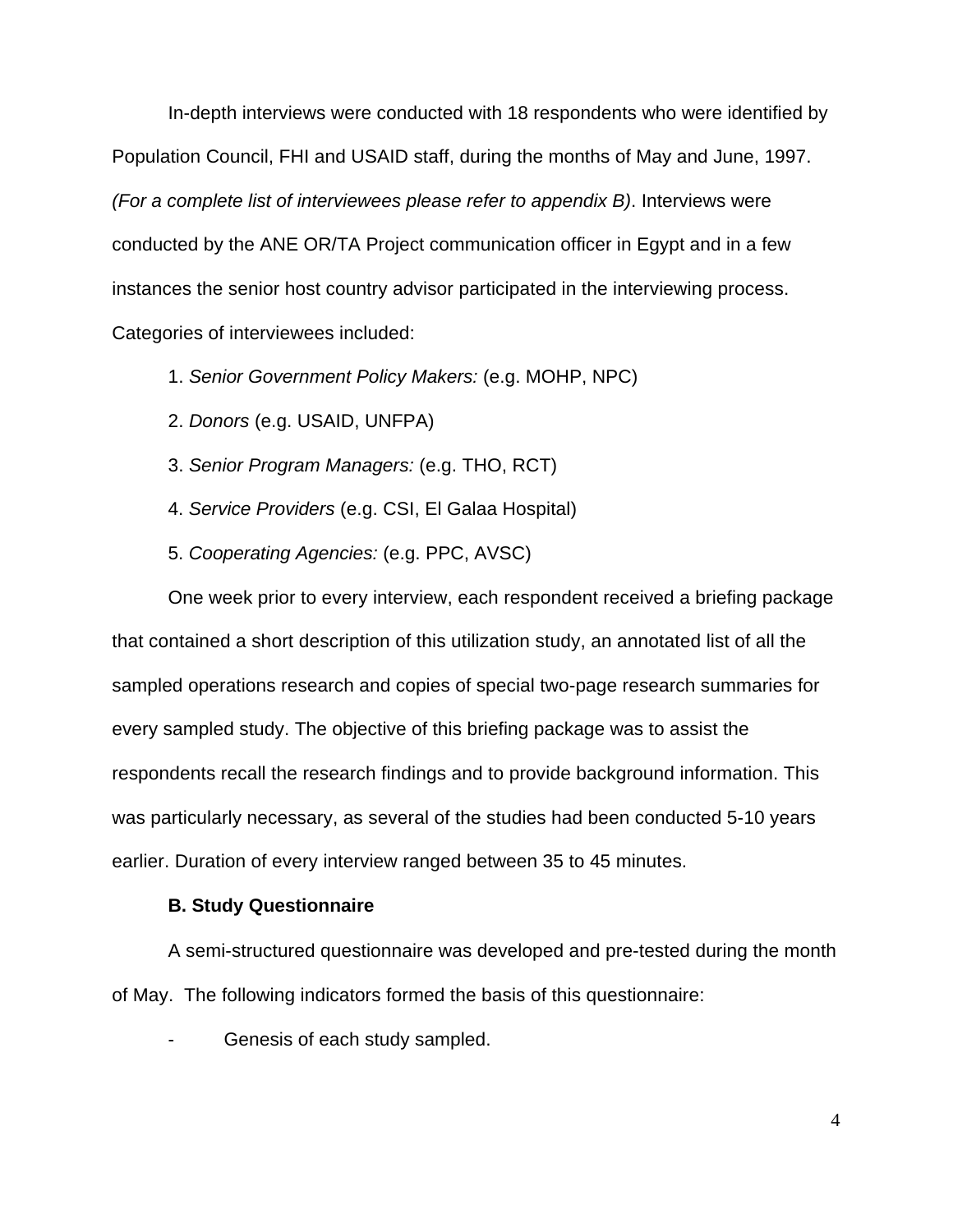In-depth interviews were conducted with 18 respondents who were identified by Population Council, FHI and USAID staff, during the months of May and June, 1997. *(For a complete list of interviewees please refer to appendix B)*. Interviews were conducted by the ANE OR/TA Project communication officer in Egypt and in a few instances the senior host country advisor participated in the interviewing process. Categories of interviewees included:

1. *Senior Government Policy Makers:* (e.g. MOHP, NPC)

- 2. *Donors* (e.g. USAID, UNFPA)
- 3. *Senior Program Managers:* (e.g. THO, RCT)
- 4. *Service Providers* (e.g. CSI, El Galaa Hospital)
- 5. *Cooperating Agencies:* (e.g. PPC, AVSC)

One week prior to every interview, each respondent received a briefing package that contained a short description of this utilization study, an annotated list of all the sampled operations research and copies of special two-page research summaries for every sampled study. The objective of this briefing package was to assist the respondents recall the research findings and to provide background information. This was particularly necessary, as several of the studies had been conducted 5-10 years earlier. Duration of every interview ranged between 35 to 45 minutes.

#### **B. Study Questionnaire**

A semi-structured questionnaire was developed and pre-tested during the month of May. The following indicators formed the basis of this questionnaire:

Genesis of each study sampled.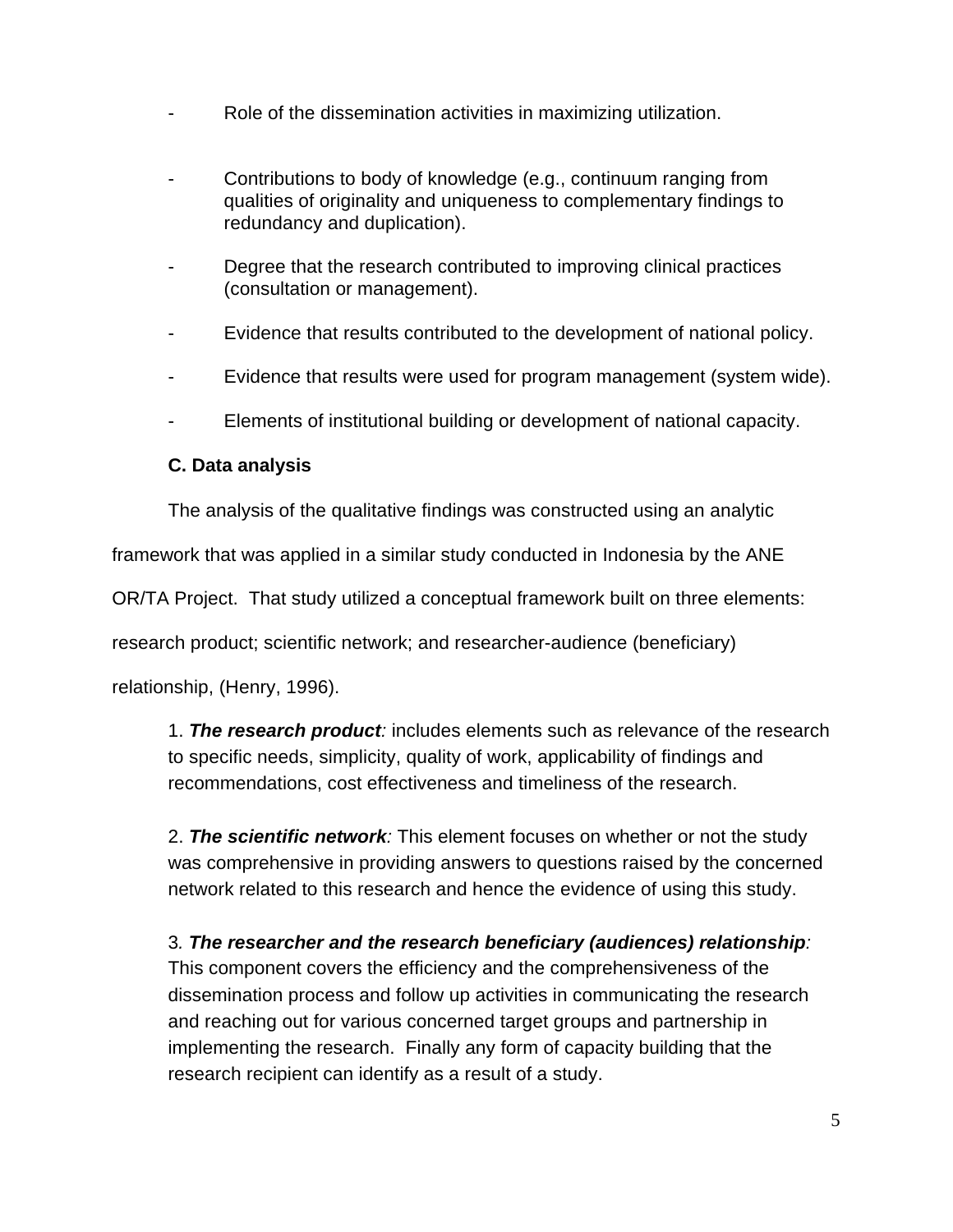- Role of the dissemination activities in maximizing utilization.
- Contributions to body of knowledge (e.g., continuum ranging from qualities of originality and uniqueness to complementary findings to redundancy and duplication).
- Degree that the research contributed to improving clinical practices (consultation or management).
- Evidence that results contributed to the development of national policy.
- Evidence that results were used for program management (system wide).
- Elements of institutional building or development of national capacity.

#### **C. Data analysis**

The analysis of the qualitative findings was constructed using an analytic

framework that was applied in a similar study conducted in Indonesia by the ANE

OR/TA Project. That study utilized a conceptual framework built on three elements:

research product; scientific network; and researcher-audience (beneficiary)

relationship, (Henry, 1996).

1. *The research product:* includes elements such as relevance of the research to specific needs, simplicity, quality of work, applicability of findings and recommendations, cost effectiveness and timeliness of the research.

2. *The scientific network:* This element focuses on whether or not the study was comprehensive in providing answers to questions raised by the concerned network related to this research and hence the evidence of using this study.

3*. The researcher and the research beneficiary (audiences) relationship:* This component covers the efficiency and the comprehensiveness of the dissemination process and follow up activities in communicating the research and reaching out for various concerned target groups and partnership in implementing the research. Finally any form of capacity building that the research recipient can identify as a result of a study.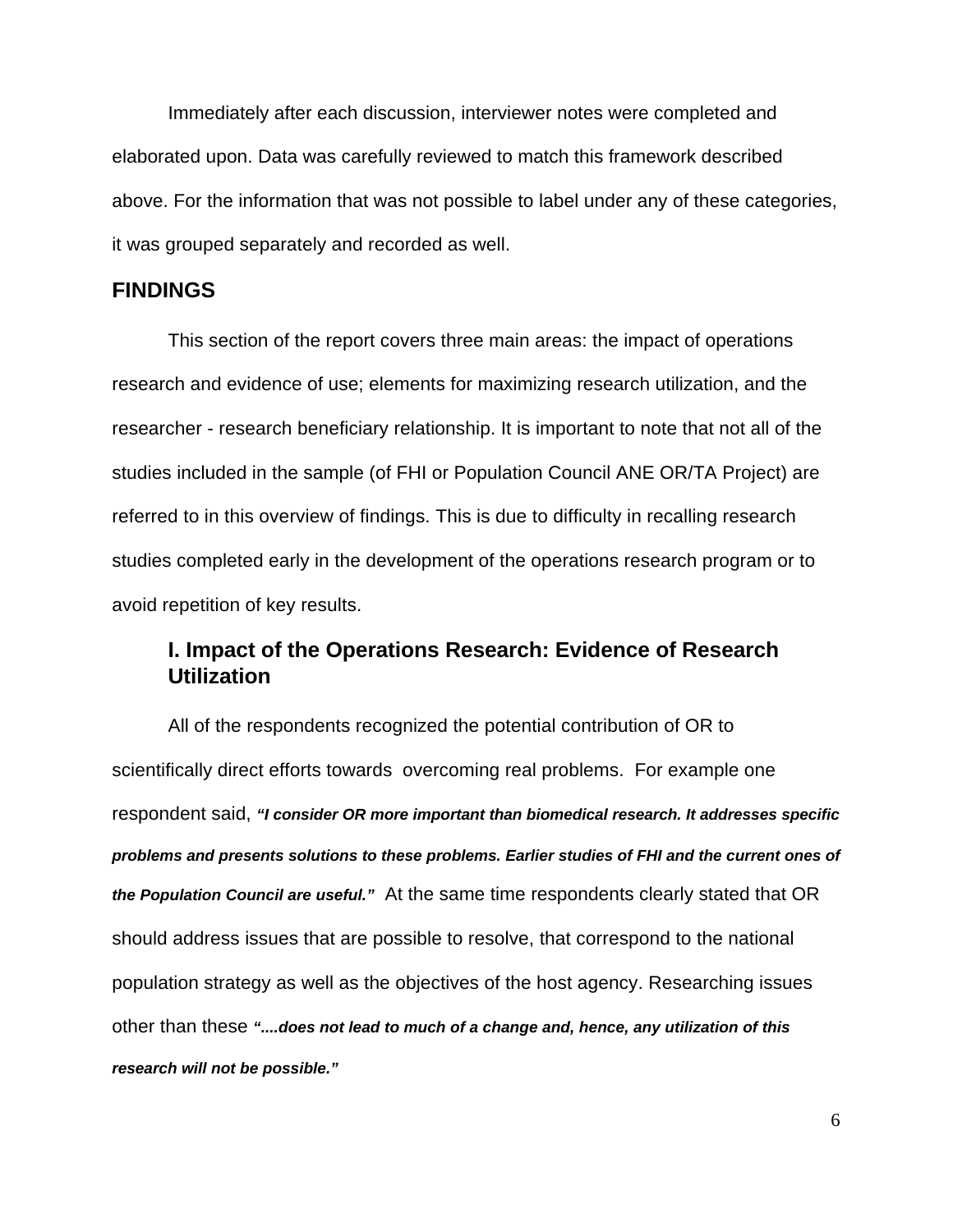Immediately after each discussion, interviewer notes were completed and elaborated upon. Data was carefully reviewed to match this framework described above. For the information that was not possible to label under any of these categories, it was grouped separately and recorded as well.

### **FINDINGS**

This section of the report covers three main areas: the impact of operations research and evidence of use; elements for maximizing research utilization, and the researcher - research beneficiary relationship. It is important to note that not all of the studies included in the sample (of FHI or Population Council ANE OR/TA Project) are referred to in this overview of findings. This is due to difficulty in recalling research studies completed early in the development of the operations research program or to avoid repetition of key results.

## **I. Impact of the Operations Research: Evidence of Research Utilization**

All of the respondents recognized the potential contribution of OR to scientifically direct efforts towards overcoming real problems. For example one respondent said, *"I consider OR more important than biomedical research. It addresses specific problems and presents solutions to these problems. Earlier studies of FHI and the current ones of the Population Council are useful."* At the same time respondents clearly stated that OR should address issues that are possible to resolve, that correspond to the national population strategy as well as the objectives of the host agency. Researching issues other than these *"....does not lead to much of a change and, hence, any utilization of this research will not be possible."*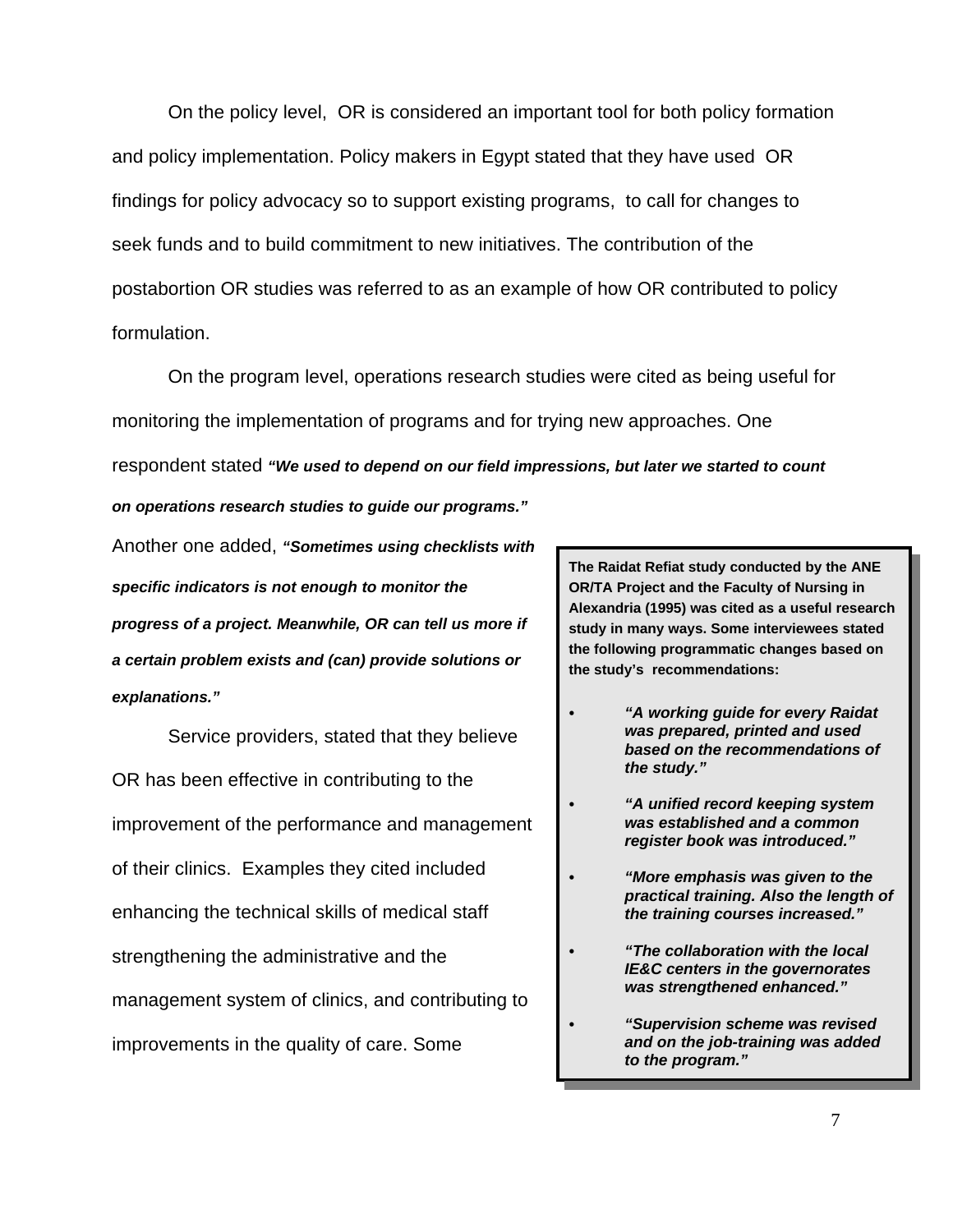On the policy level, OR is considered an important tool for both policy formation and policy implementation. Policy makers in Egypt stated that they have used OR findings for policy advocacy so to support existing programs, to call for changes to seek funds and to build commitment to new initiatives. The contribution of the postabortion OR studies was referred to as an example of how OR contributed to policy formulation.

On the program level, operations research studies were cited as being useful for monitoring the implementation of programs and for trying new approaches. One respondent stated *"We used to depend on our field impressions, but later we started to count on operations research studies to guide our programs."*

Another one added, *"Sometimes using checklists with specific indicators is not enough to monitor the progress of a project. Meanwhile, OR can tell us more if a certain problem exists and (can) provide solutions or explanations."*

Service providers, stated that they believe OR has been effective in contributing to the improvement of the performance and management of their clinics. Examples they cited included enhancing the technical skills of medical staff strengthening the administrative and the management system of clinics, and contributing to improvements in the quality of care. Some

**The Raidat Refiat study conducted by the ANE OR/TA Project and the Faculty of Nursing in Alexandria (1995) was cited as a useful research study in many ways. Some interviewees stated the following programmatic changes based on the study's recommendations:** 

- *C "A working guide for every Raidat was prepared, printed and used based on the recommendations of the study."*
- *C "A unified record keeping system was established and a common register book was introduced."*
- *C "More emphasis was given to the practical training. Also the length of the training courses increased."*
- *C "The collaboration with the local IE&C centers in the governorates was strengthened enhanced."*
	- *C "Supervision scheme was revised and on the job-training was added to the program."*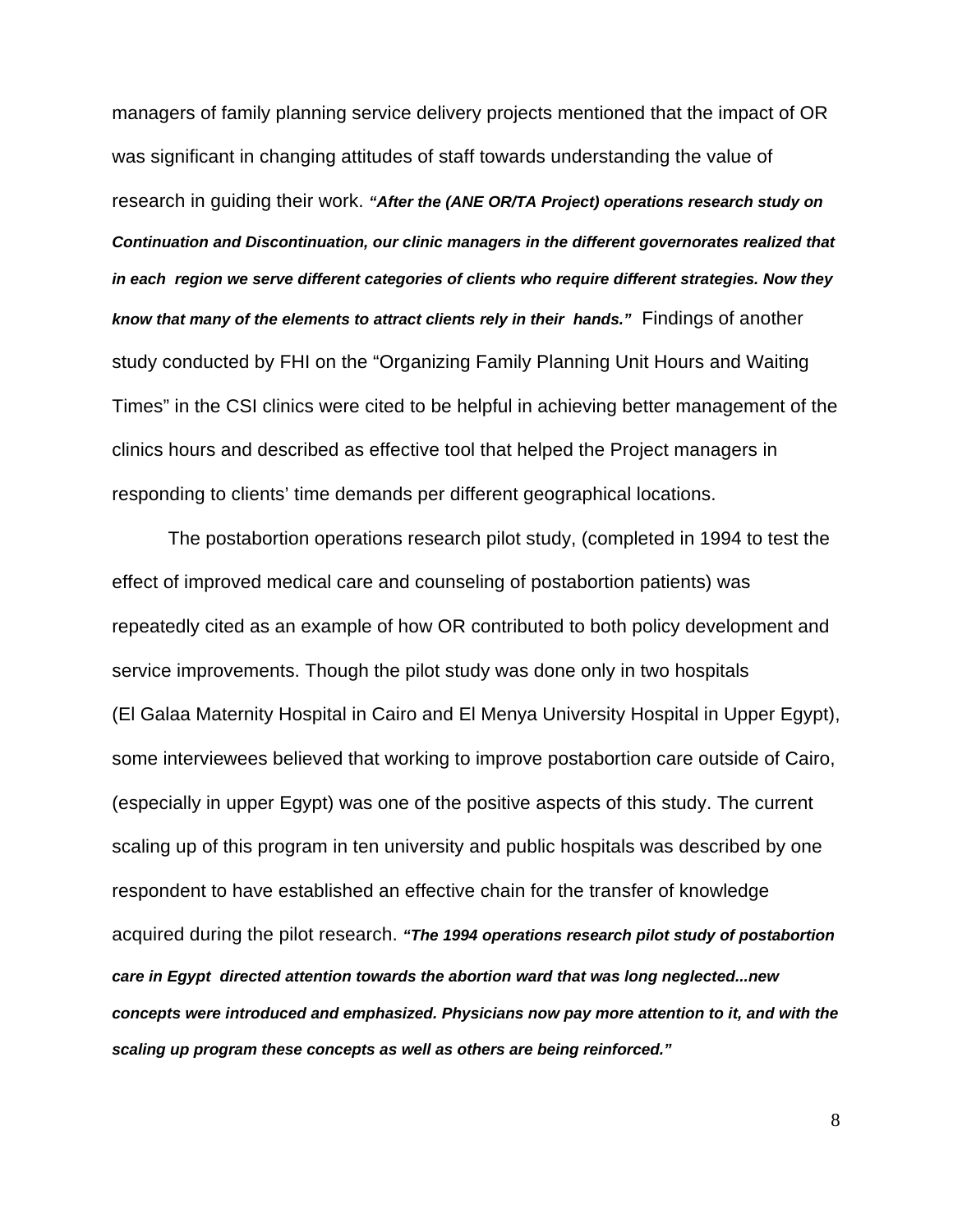managers of family planning service delivery projects mentioned that the impact of OR was significant in changing attitudes of staff towards understanding the value of research in guiding their work. *"After the (ANE OR/TA Project) operations research study on Continuation and Discontinuation, our clinic managers in the different governorates realized that in each region we serve different categories of clients who require different strategies. Now they know that many of the elements to attract clients rely in their hands."* Findings of another study conducted by FHI on the "Organizing Family Planning Unit Hours and Waiting Times" in the CSI clinics were cited to be helpful in achieving better management of the clinics hours and described as effective tool that helped the Project managers in responding to clients' time demands per different geographical locations.

The postabortion operations research pilot study, (completed in 1994 to test the effect of improved medical care and counseling of postabortion patients) was repeatedly cited as an example of how OR contributed to both policy development and service improvements. Though the pilot study was done only in two hospitals (El Galaa Maternity Hospital in Cairo and El Menya University Hospital in Upper Egypt), some interviewees believed that working to improve postabortion care outside of Cairo, (especially in upper Egypt) was one of the positive aspects of this study. The current scaling up of this program in ten university and public hospitals was described by one respondent to have established an effective chain for the transfer of knowledge acquired during the pilot research. *"The 1994 operations research pilot study of postabortion care in Egypt directed attention towards the abortion ward that was long neglected...new concepts were introduced and emphasized. Physicians now pay more attention to it, and with the scaling up program these concepts as well as others are being reinforced."* 

8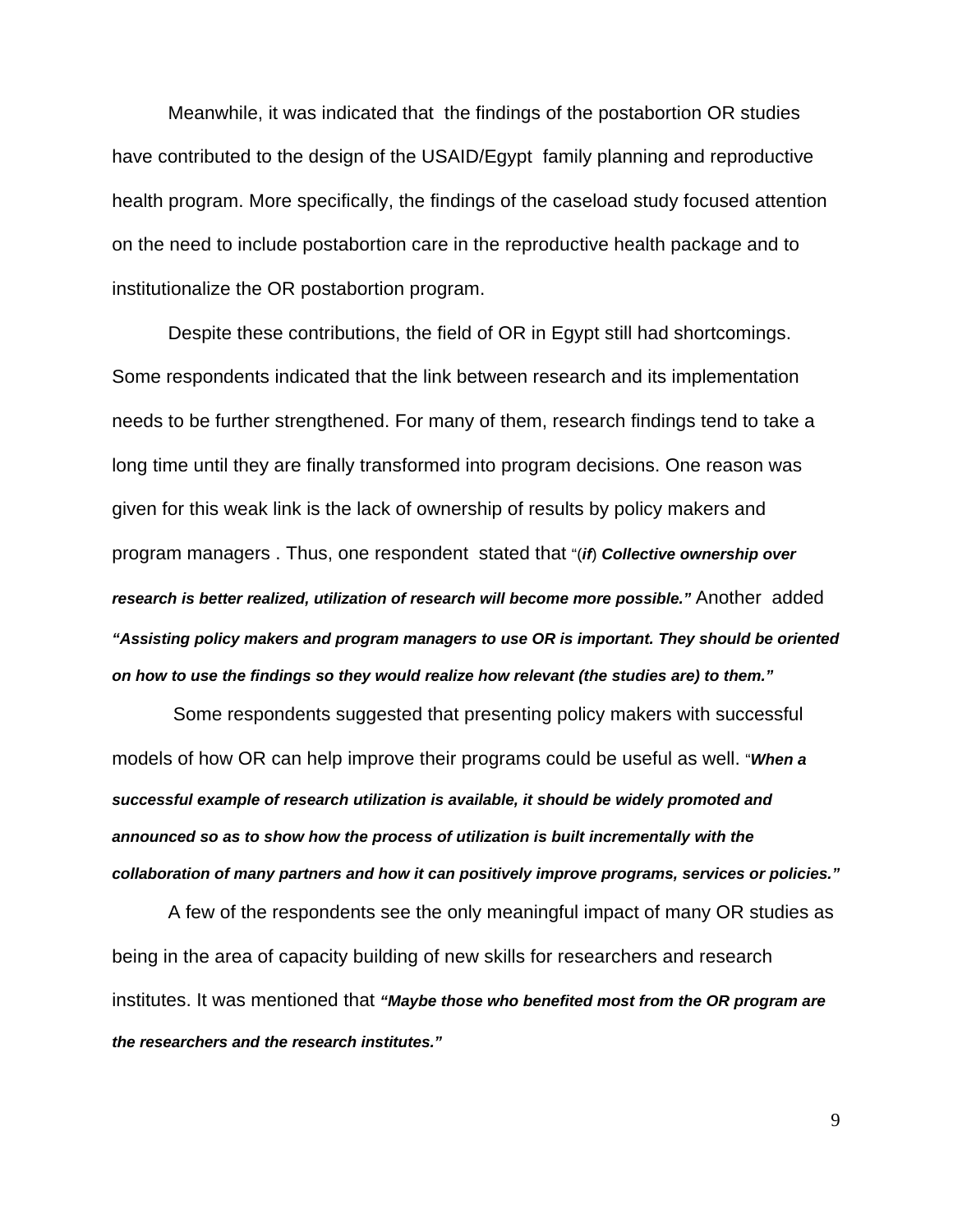Meanwhile, it was indicated that the findings of the postabortion OR studies have contributed to the design of the USAID/Egypt family planning and reproductive health program. More specifically, the findings of the caseload study focused attention on the need to include postabortion care in the reproductive health package and to institutionalize the OR postabortion program.

Despite these contributions, the field of OR in Egypt still had shortcomings. Some respondents indicated that the link between research and its implementation needs to be further strengthened. For many of them, research findings tend to take a long time until they are finally transformed into program decisions. One reason was given for this weak link is the lack of ownership of results by policy makers and program managers . Thus, one respondent stated that "(*if*) *Collective ownership over research is better realized, utilization of research will become more possible."* Another added *"Assisting policy makers and program managers to use OR is important. They should be oriented on how to use the findings so they would realize how relevant (the studies are) to them."*

 Some respondents suggested that presenting policy makers with successful models of how OR can help improve their programs could be useful as well. "*When a successful example of research utilization is available, it should be widely promoted and announced so as to show how the process of utilization is built incrementally with the collaboration of many partners and how it can positively improve programs, services or policies."*

A few of the respondents see the only meaningful impact of many OR studies as being in the area of capacity building of new skills for researchers and research institutes. It was mentioned that *"Maybe those who benefited most from the OR program are the researchers and the research institutes."*

9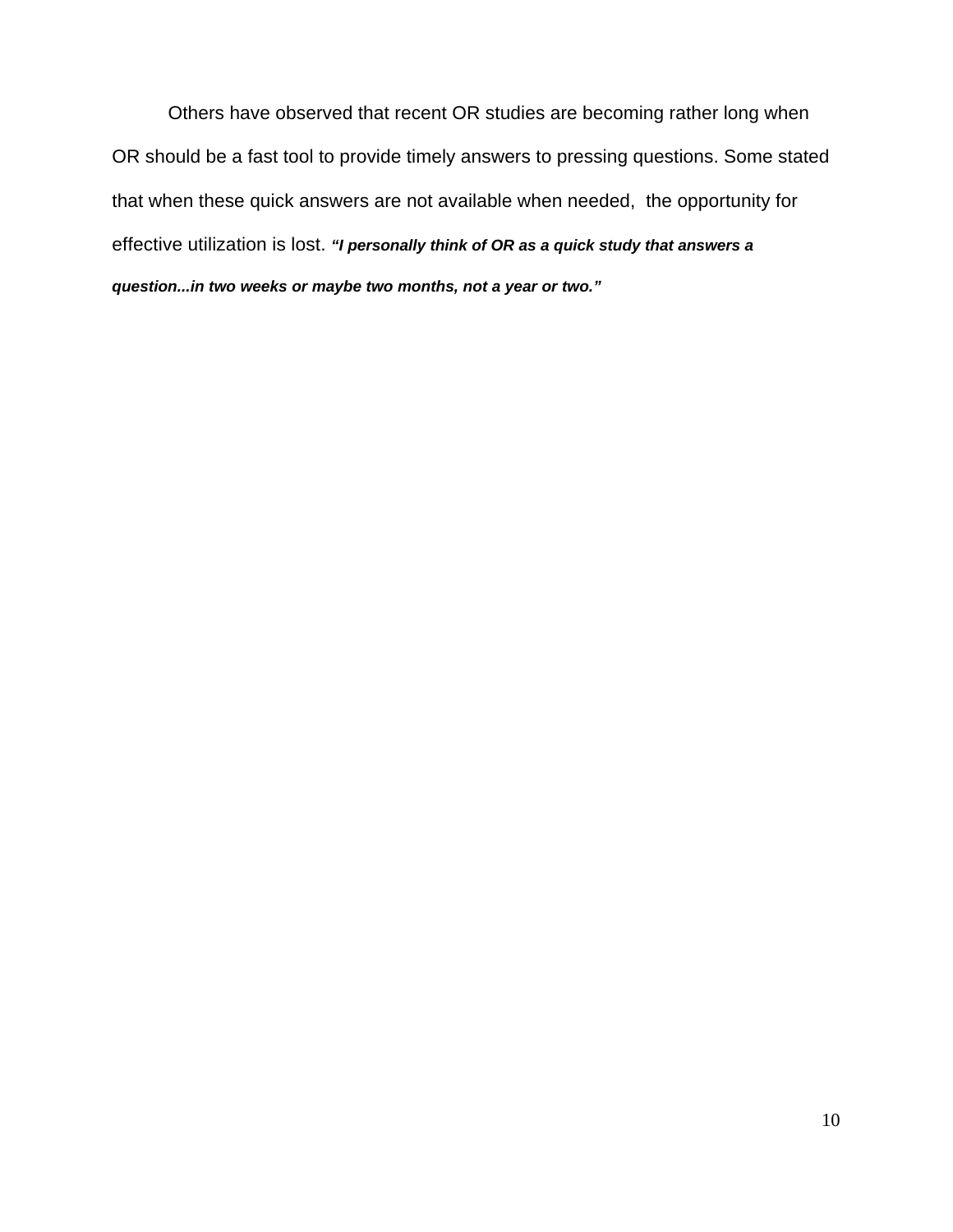Others have observed that recent OR studies are becoming rather long when OR should be a fast tool to provide timely answers to pressing questions. Some stated that when these quick answers are not available when needed, the opportunity for effective utilization is lost. *"I personally think of OR as a quick study that answers a question...in two weeks or maybe two months, not a year or two."*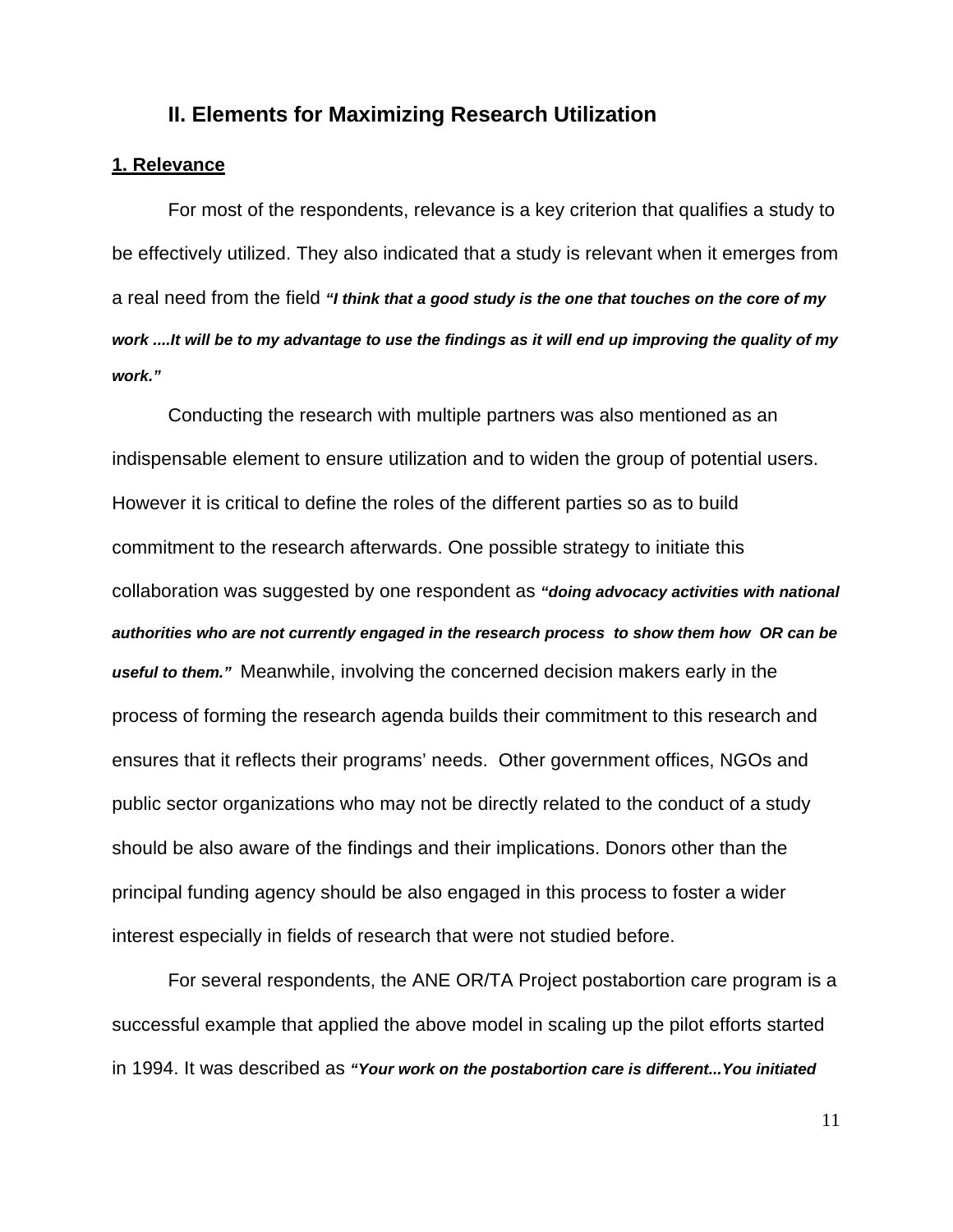### **II. Elements for Maximizing Research Utilization**

#### **1. Relevance**

For most of the respondents, relevance is a key criterion that qualifies a study to be effectively utilized. They also indicated that a study is relevant when it emerges from a real need from the field *"I think that a good study is the one that touches on the core of my work ....It will be to my advantage to use the findings as it will end up improving the quality of my work."* 

Conducting the research with multiple partners was also mentioned as an indispensable element to ensure utilization and to widen the group of potential users. However it is critical to define the roles of the different parties so as to build commitment to the research afterwards. One possible strategy to initiate this collaboration was suggested by one respondent as *"doing advocacy activities with national authorities who are not currently engaged in the research process to show them how OR can be useful to them."* Meanwhile, involving the concerned decision makers early in the process of forming the research agenda builds their commitment to this research and ensures that it reflects their programs' needs. Other government offices, NGOs and public sector organizations who may not be directly related to the conduct of a study should be also aware of the findings and their implications. Donors other than the principal funding agency should be also engaged in this process to foster a wider interest especially in fields of research that were not studied before.

For several respondents, the ANE OR/TA Project postabortion care program is a successful example that applied the above model in scaling up the pilot efforts started in 1994. It was described as *"Your work on the postabortion care is different...You initiated*

11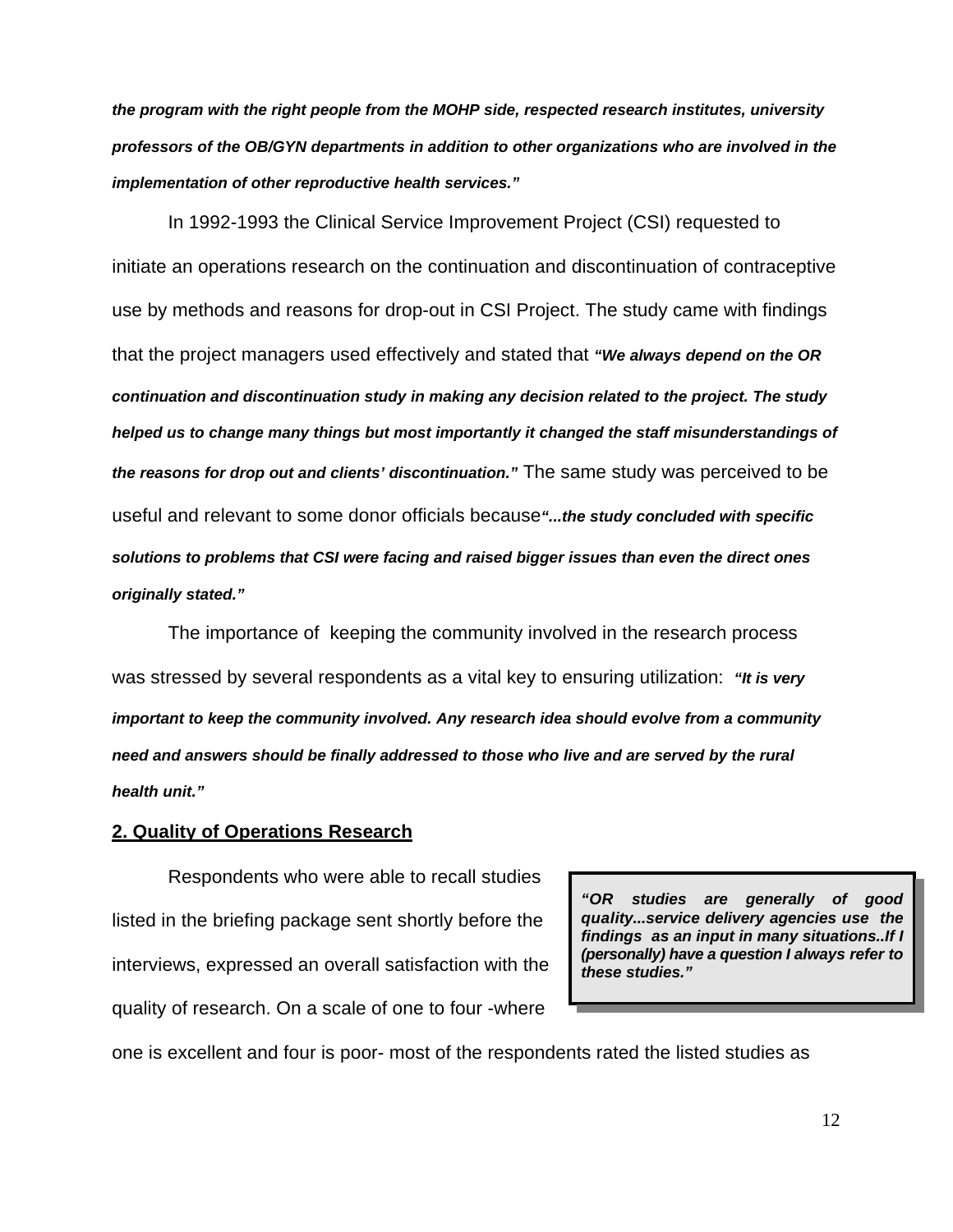*the program with the right people from the MOHP side, respected research institutes, university professors of the OB/GYN departments in addition to other organizations who are involved in the implementation of other reproductive health services."* 

In 1992-1993 the Clinical Service Improvement Project (CSI) requested to initiate an operations research on the continuation and discontinuation of contraceptive use by methods and reasons for drop-out in CSI Project. The study came with findings that the project managers used effectively and stated that *"We always depend on the OR continuation and discontinuation study in making any decision related to the project. The study helped us to change many things but most importantly it changed the staff misunderstandings of the reasons for drop out and clients' discontinuation."* The same study was perceived to be useful and relevant to some donor officials because*"...the study concluded with specific solutions to problems that CSI were facing and raised bigger issues than even the direct ones originally stated."* 

The importance of keeping the community involved in the research process was stressed by several respondents as a vital key to ensuring utilization: *"It is very important to keep the community involved. Any research idea should evolve from a community need and answers should be finally addressed to those who live and are served by the rural health unit."* 

#### **2. Quality of Operations Research**

Respondents who were able to recall studies listed in the briefing package sent shortly before the interviews, expressed an overall satisfaction with the quality of research. On a scale of one to four -where

*"OR studies are generally of good quality...service delivery agencies use the findings as an input in many situations..If I (personally) have a question I always refer to these studies."* 

one is excellent and four is poor- most of the respondents rated the listed studies as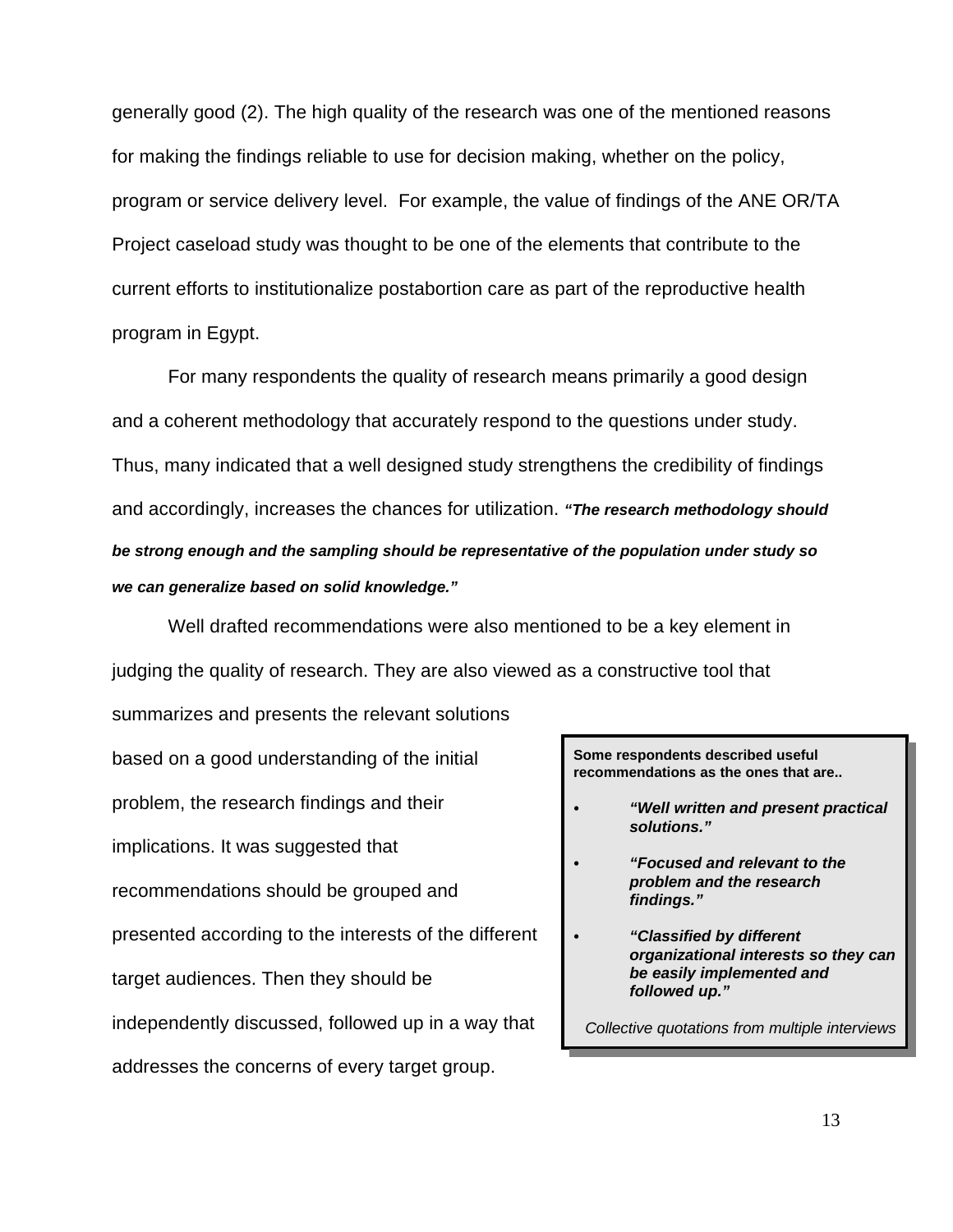generally good (2). The high quality of the research was one of the mentioned reasons for making the findings reliable to use for decision making, whether on the policy, program or service delivery level. For example, the value of findings of the ANE OR/TA Project caseload study was thought to be one of the elements that contribute to the current efforts to institutionalize postabortion care as part of the reproductive health program in Egypt.

For many respondents the quality of research means primarily a good design and a coherent methodology that accurately respond to the questions under study. Thus, many indicated that a well designed study strengthens the credibility of findings and accordingly, increases the chances for utilization. *"The research methodology should be strong enough and the sampling should be representative of the population under study so we can generalize based on solid knowledge."* 

Well drafted recommendations were also mentioned to be a key element in judging the quality of research. They are also viewed as a constructive tool that

based on a good understanding of the initial problem, the research findings and their implications. It was suggested that recommendations should be grouped and presented according to the interests of the different target audiences. Then they should be independently discussed, followed up in a way that addresses the concerns of every target group.

summarizes and presents the relevant solutions

**Some respondents described useful recommendations as the ones that are..**

- C *"Well written and present practical solutions."*
- C *"Focused and relevant to the problem and the research findings."*
	- *C "Classified by different organizational interests so they can be easily implemented and followed up."*

*Collective quotations from multiple interviews*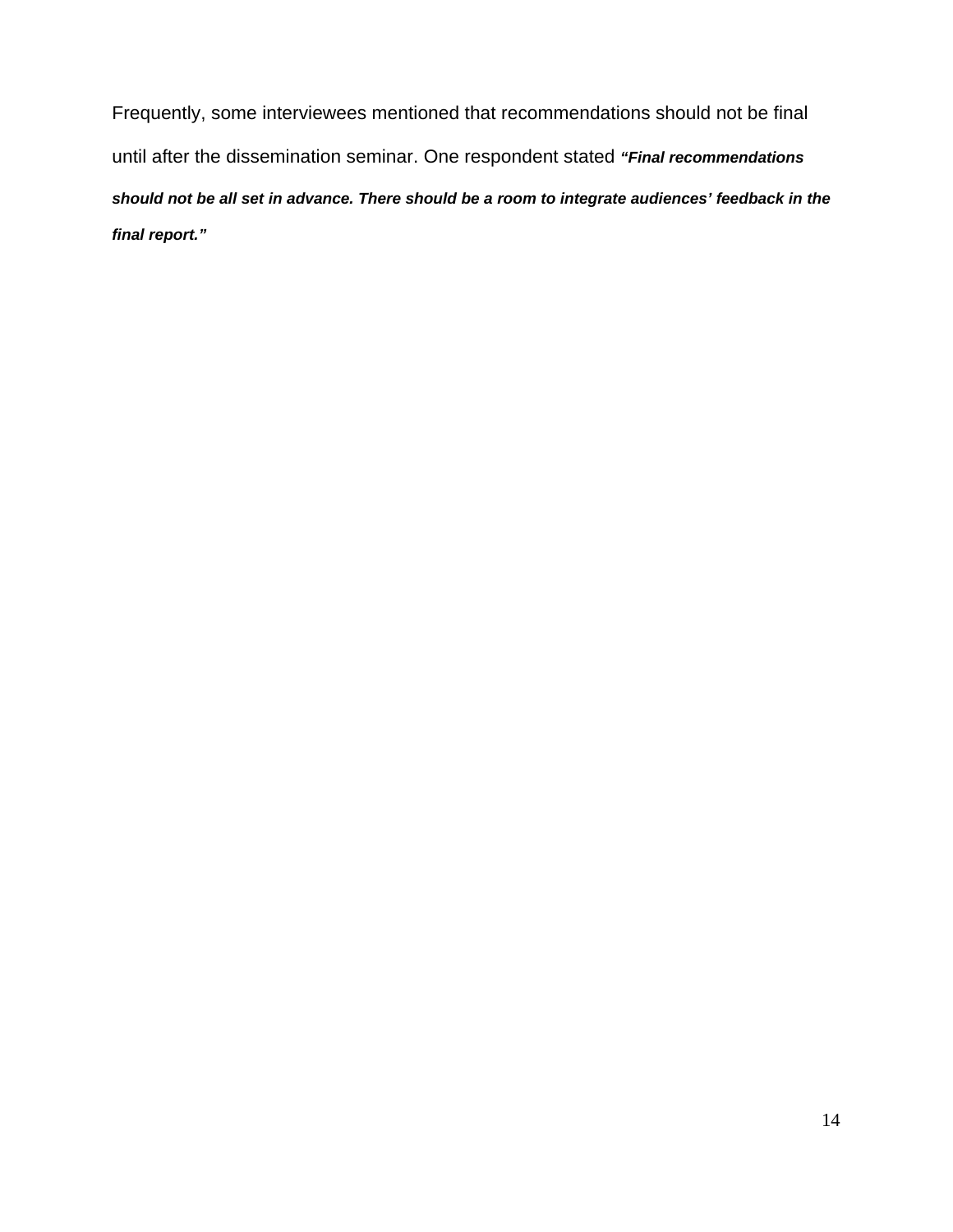Frequently, some interviewees mentioned that recommendations should not be final until after the dissemination seminar. One respondent stated *"Final recommendations should not be all set in advance. There should be a room to integrate audiences' feedback in the final report."*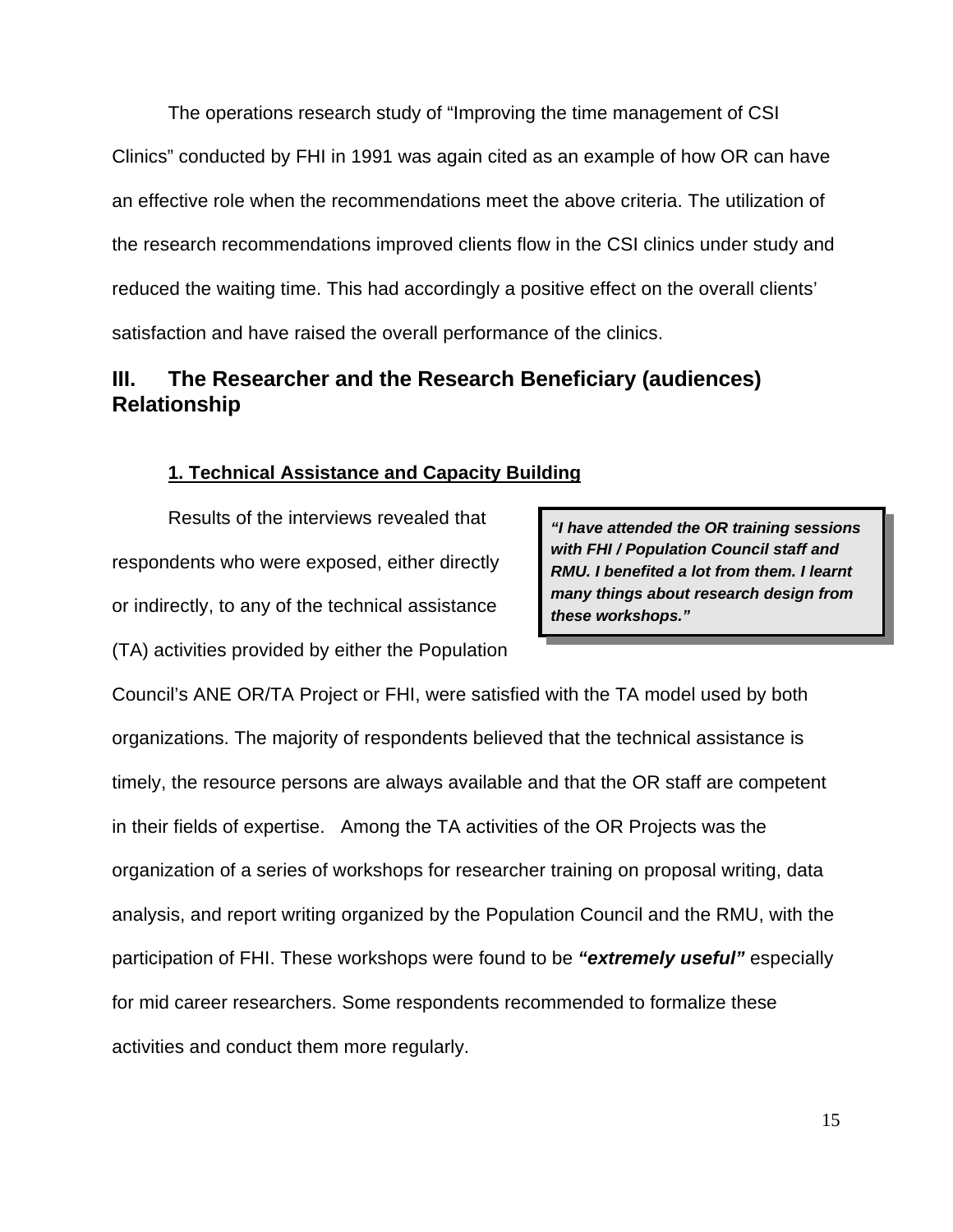The operations research study of "Improving the time management of CSI Clinics" conducted by FHI in 1991 was again cited as an example of how OR can have an effective role when the recommendations meet the above criteria. The utilization of the research recommendations improved clients flow in the CSI clinics under study and reduced the waiting time. This had accordingly a positive effect on the overall clients' satisfaction and have raised the overall performance of the clinics.

# **III. The Researcher and the Research Beneficiary (audiences) Relationship**

### **1. Technical Assistance and Capacity Building**

Results of the interviews revealed that respondents who were exposed, either directly or indirectly, to any of the technical assistance (TA) activities provided by either the Population

*"I have attended the OR training sessions with FHI / Population Council staff and RMU. I benefited a lot from them. I learnt many things about research design from these workshops."* 

Council's ANE OR/TA Project or FHI, were satisfied with the TA model used by both organizations. The majority of respondents believed that the technical assistance is timely, the resource persons are always available and that the OR staff are competent in their fields of expertise. Among the TA activities of the OR Projects was the organization of a series of workshops for researcher training on proposal writing, data analysis, and report writing organized by the Population Council and the RMU, with the participation of FHI. These workshops were found to be *"extremely useful"* especially for mid career researchers. Some respondents recommended to formalize these activities and conduct them more regularly.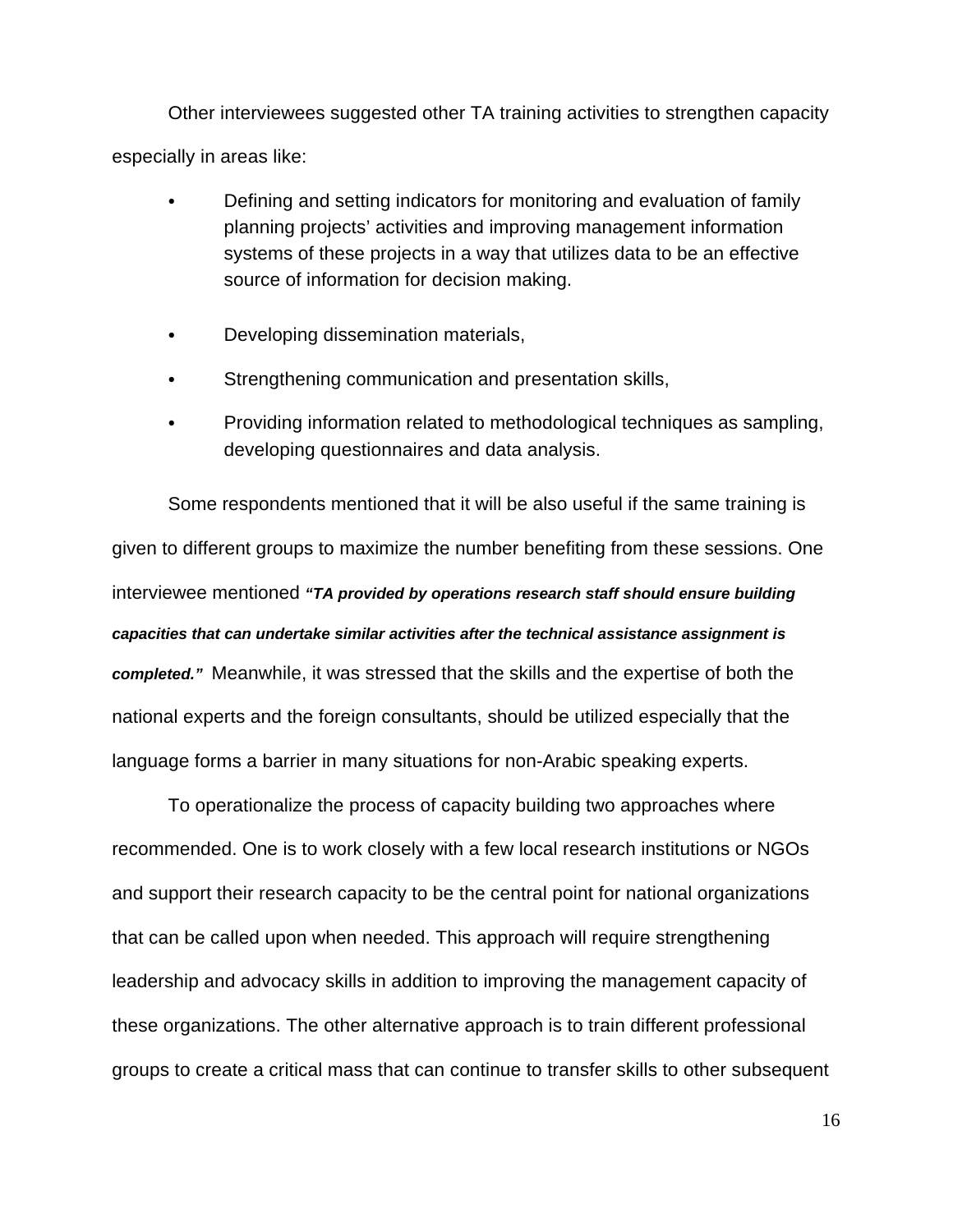Other interviewees suggested other TA training activities to strengthen capacity especially in areas like:

- Defining and setting indicators for monitoring and evaluation of family planning projects' activities and improving management information systems of these projects in a way that utilizes data to be an effective source of information for decision making.
- Developing dissemination materials,
- Strengthening communication and presentation skills,
- Providing information related to methodological techniques as sampling, developing questionnaires and data analysis.

Some respondents mentioned that it will be also useful if the same training is given to different groups to maximize the number benefiting from these sessions. One interviewee mentioned *"TA provided by operations research staff should ensure building capacities that can undertake similar activities after the technical assistance assignment is completed."* Meanwhile, it was stressed that the skills and the expertise of both the national experts and the foreign consultants, should be utilized especially that the language forms a barrier in many situations for non-Arabic speaking experts.

To operationalize the process of capacity building two approaches where recommended. One is to work closely with a few local research institutions or NGOs and support their research capacity to be the central point for national organizations that can be called upon when needed. This approach will require strengthening leadership and advocacy skills in addition to improving the management capacity of these organizations. The other alternative approach is to train different professional groups to create a critical mass that can continue to transfer skills to other subsequent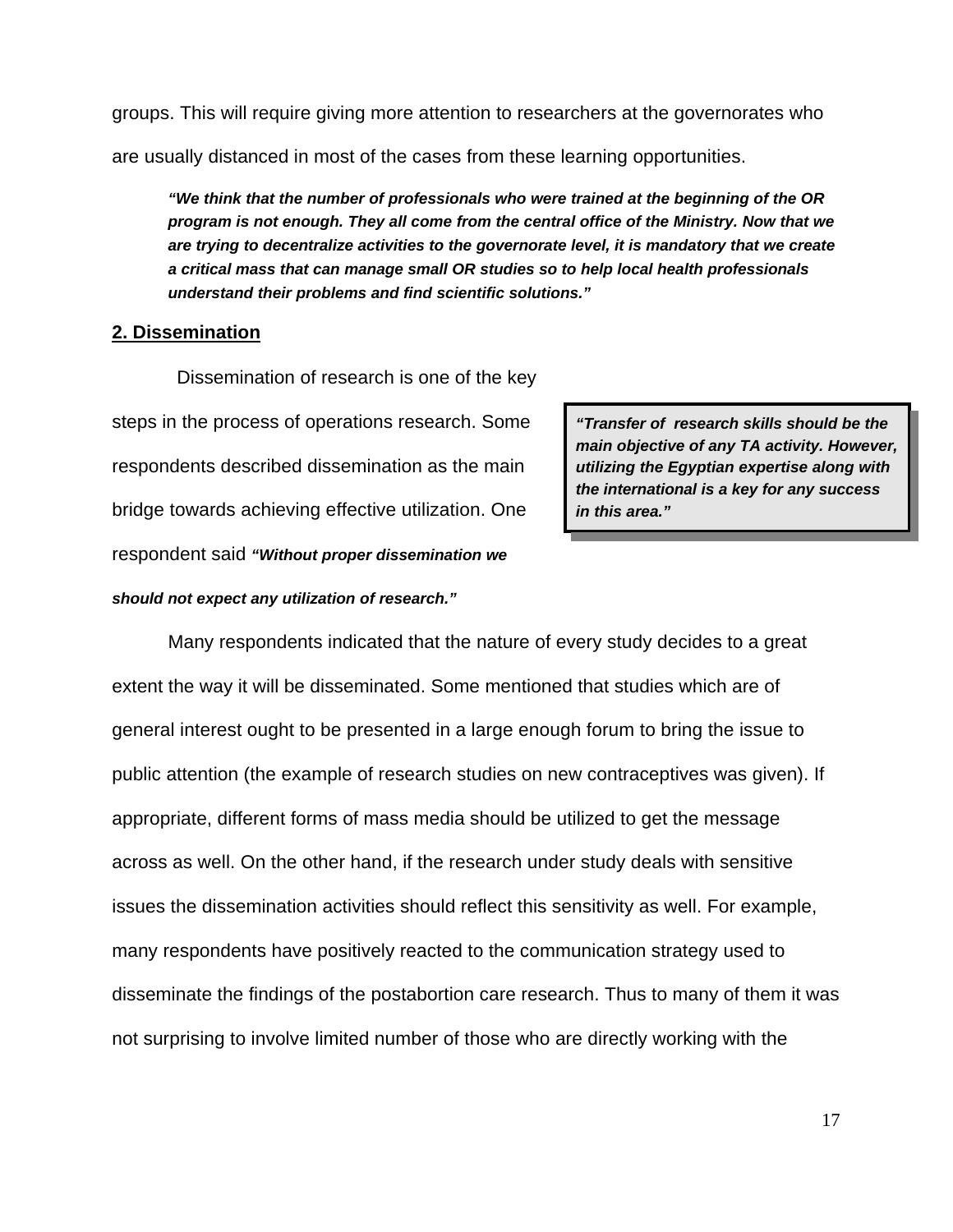groups. This will require giving more attention to researchers at the governorates who are usually distanced in most of the cases from these learning opportunities.

*"We think that the number of professionals who were trained at the beginning of the OR program is not enough. They all come from the central office of the Ministry. Now that we are trying to decentralize activities to the governorate level, it is mandatory that we create a critical mass that can manage small OR studies so to help local health professionals understand their problems and find scientific solutions."*

#### **2. Dissemination**

 Dissemination of research is one of the key steps in the process of operations research. Some respondents described dissemination as the main bridge towards achieving effective utilization. One respondent said *"Without proper dissemination we*

*should not expect any utilization of research."* 

*"Transfer of research skills should be the main objective of any TA activity. However, utilizing the Egyptian expertise along with the international is a key for any success in this area."* 

Many respondents indicated that the nature of every study decides to a great extent the way it will be disseminated. Some mentioned that studies which are of general interest ought to be presented in a large enough forum to bring the issue to public attention (the example of research studies on new contraceptives was given). If appropriate, different forms of mass media should be utilized to get the message across as well. On the other hand, if the research under study deals with sensitive issues the dissemination activities should reflect this sensitivity as well. For example, many respondents have positively reacted to the communication strategy used to disseminate the findings of the postabortion care research. Thus to many of them it was not surprising to involve limited number of those who are directly working with the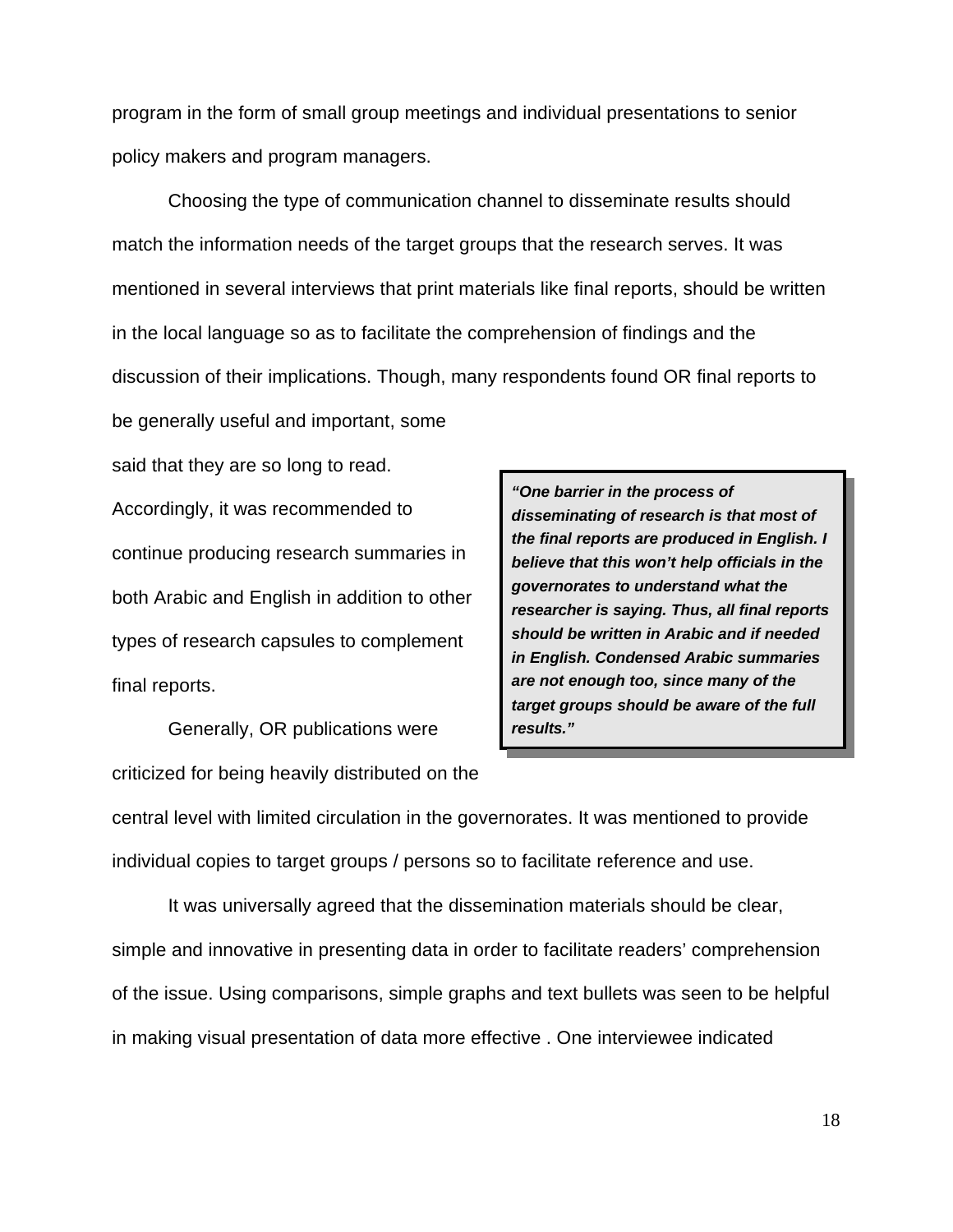program in the form of small group meetings and individual presentations to senior policy makers and program managers.

Choosing the type of communication channel to disseminate results should match the information needs of the target groups that the research serves. It was mentioned in several interviews that print materials like final reports, should be written in the local language so as to facilitate the comprehension of findings and the discussion of their implications. Though, many respondents found OR final reports to be generally useful and important, some

said that they are so long to read. Accordingly, it was recommended to continue producing research summaries in both Arabic and English in addition to other types of research capsules to complement final reports.

Generally, OR publications were criticized for being heavily distributed on the

*"One barrier in the process of disseminating of research is that most of the final reports are produced in English. I believe that this won't help officials in the governorates to understand what the researcher is saying. Thus, all final reports should be written in Arabic and if needed in English. Condensed Arabic summaries are not enough too, since many of the target groups should be aware of the full results."* 

central level with limited circulation in the governorates. It was mentioned to provide individual copies to target groups / persons so to facilitate reference and use.

It was universally agreed that the dissemination materials should be clear, simple and innovative in presenting data in order to facilitate readers' comprehension of the issue. Using comparisons, simple graphs and text bullets was seen to be helpful in making visual presentation of data more effective . One interviewee indicated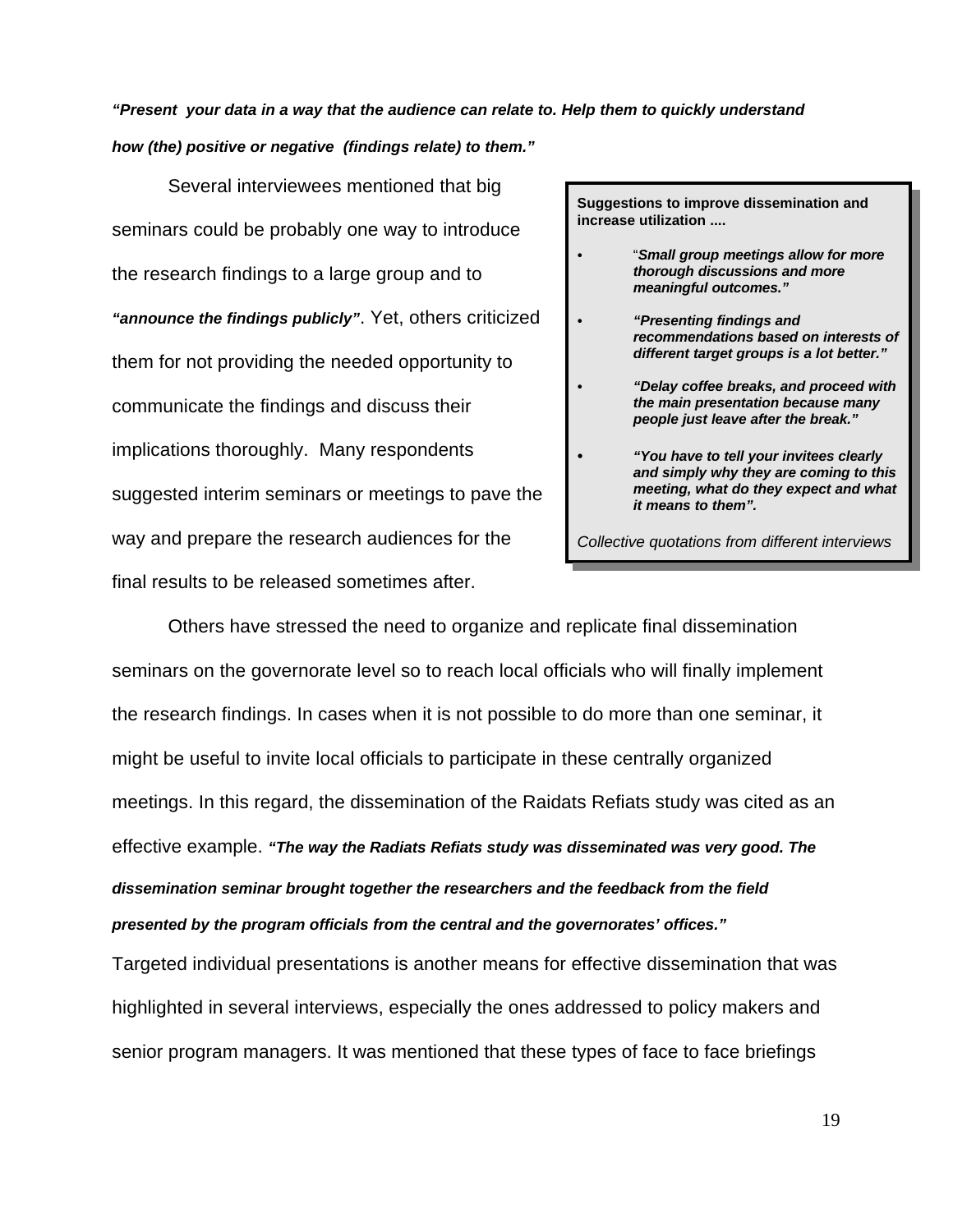*"Present your data in a way that the audience can relate to. Help them to quickly understand how (the) positive or negative (findings relate) to them."*

Several interviewees mentioned that big seminars could be probably one way to introduce the research findings to a large group and to *"announce the findings publicly"*. Yet, others criticized them for not providing the needed opportunity to communicate the findings and discuss their implications thoroughly. Many respondents suggested interim seminars or meetings to pave the way and prepare the research audiences for the final results to be released sometimes after.

**Suggestions to improve dissemination and increase utilization ....**

- *C* "*Small group meetings allow for more thorough discussions and more meaningful outcomes."*
- *C "Presenting findings and recommendations based on interests of different target groups is a lot better."*
- *C "Delay coffee breaks, and proceed with the main presentation because many people just leave after the break."* 
	- "You have to tell your invitees clearly *and simply why they are coming to this meeting, what do they expect and what it means to them".*

*Collective quotations from different interviews*

Others have stressed the need to organize and replicate final dissemination seminars on the governorate level so to reach local officials who will finally implement the research findings. In cases when it is not possible to do more than one seminar, it might be useful to invite local officials to participate in these centrally organized meetings. In this regard, the dissemination of the Raidats Refiats study was cited as an effective example. *"The way the Radiats Refiats study was disseminated was very good. The dissemination seminar brought together the researchers and the feedback from the field presented by the program officials from the central and the governorates' offices."* 

Targeted individual presentations is another means for effective dissemination that was highlighted in several interviews, especially the ones addressed to policy makers and senior program managers. It was mentioned that these types of face to face briefings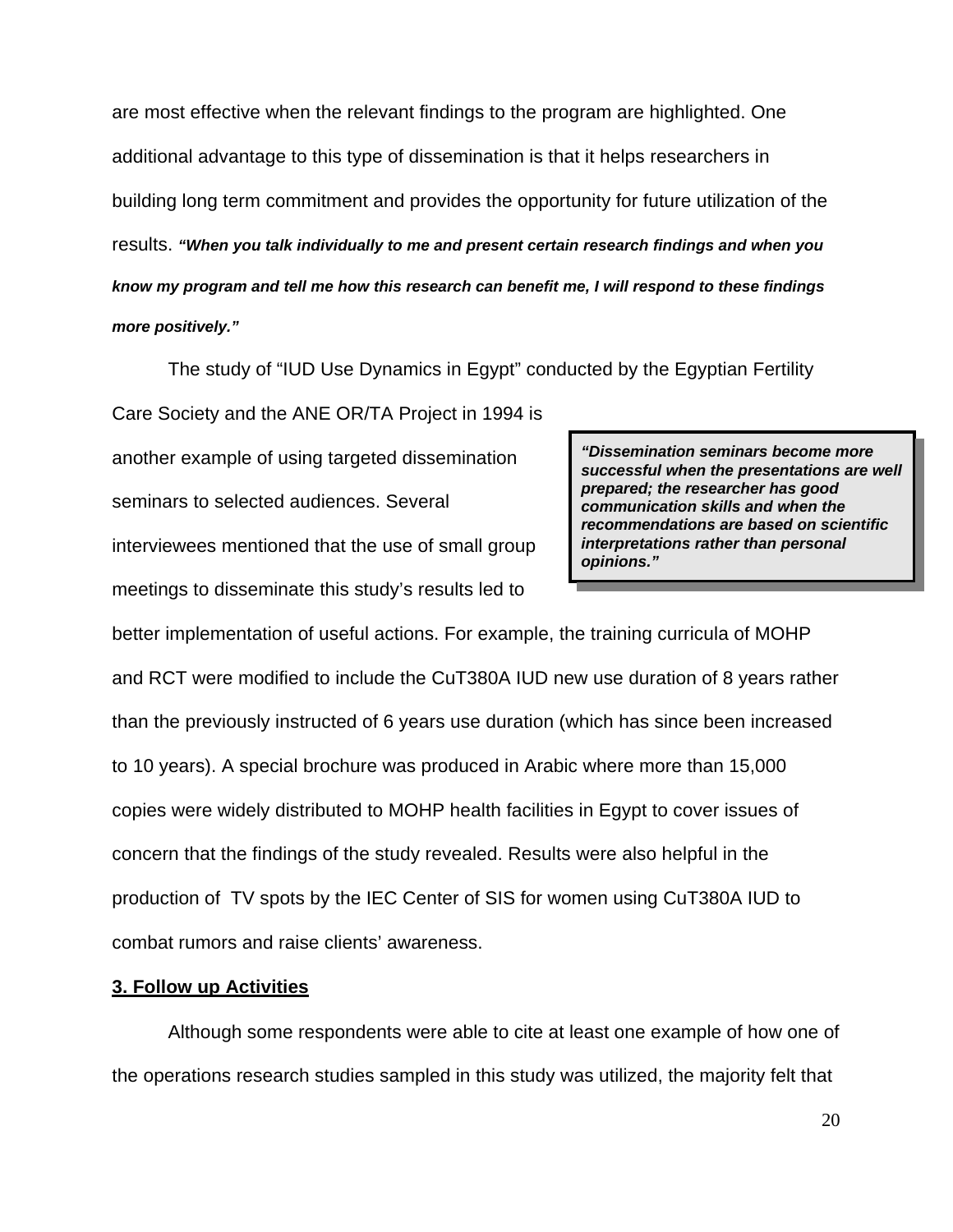are most effective when the relevant findings to the program are highlighted. One additional advantage to this type of dissemination is that it helps researchers in building long term commitment and provides the opportunity for future utilization of the results. *"When you talk individually to me and present certain research findings and when you know my program and tell me how this research can benefit me, I will respond to these findings more positively."* 

The study of "IUD Use Dynamics in Egypt" conducted by the Egyptian Fertility

Care Society and the ANE OR/TA Project in 1994 is another example of using targeted dissemination seminars to selected audiences. Several interviewees mentioned that the use of small group meetings to disseminate this study's results led to

*"Dissemination seminars become more successful when the presentations are well prepared; the researcher has good communication skills and when the recommendations are based on scientific interpretations rather than personal opinions."* 

better implementation of useful actions. For example, the training curricula of MOHP and RCT were modified to include the CuT380A IUD new use duration of 8 years rather than the previously instructed of 6 years use duration (which has since been increased to 10 years). A special brochure was produced in Arabic where more than 15,000 copies were widely distributed to MOHP health facilities in Egypt to cover issues of concern that the findings of the study revealed. Results were also helpful in the production of TV spots by the IEC Center of SIS for women using CuT380A IUD to combat rumors and raise clients' awareness.

#### **3. Follow up Activities**

Although some respondents were able to cite at least one example of how one of the operations research studies sampled in this study was utilized, the majority felt that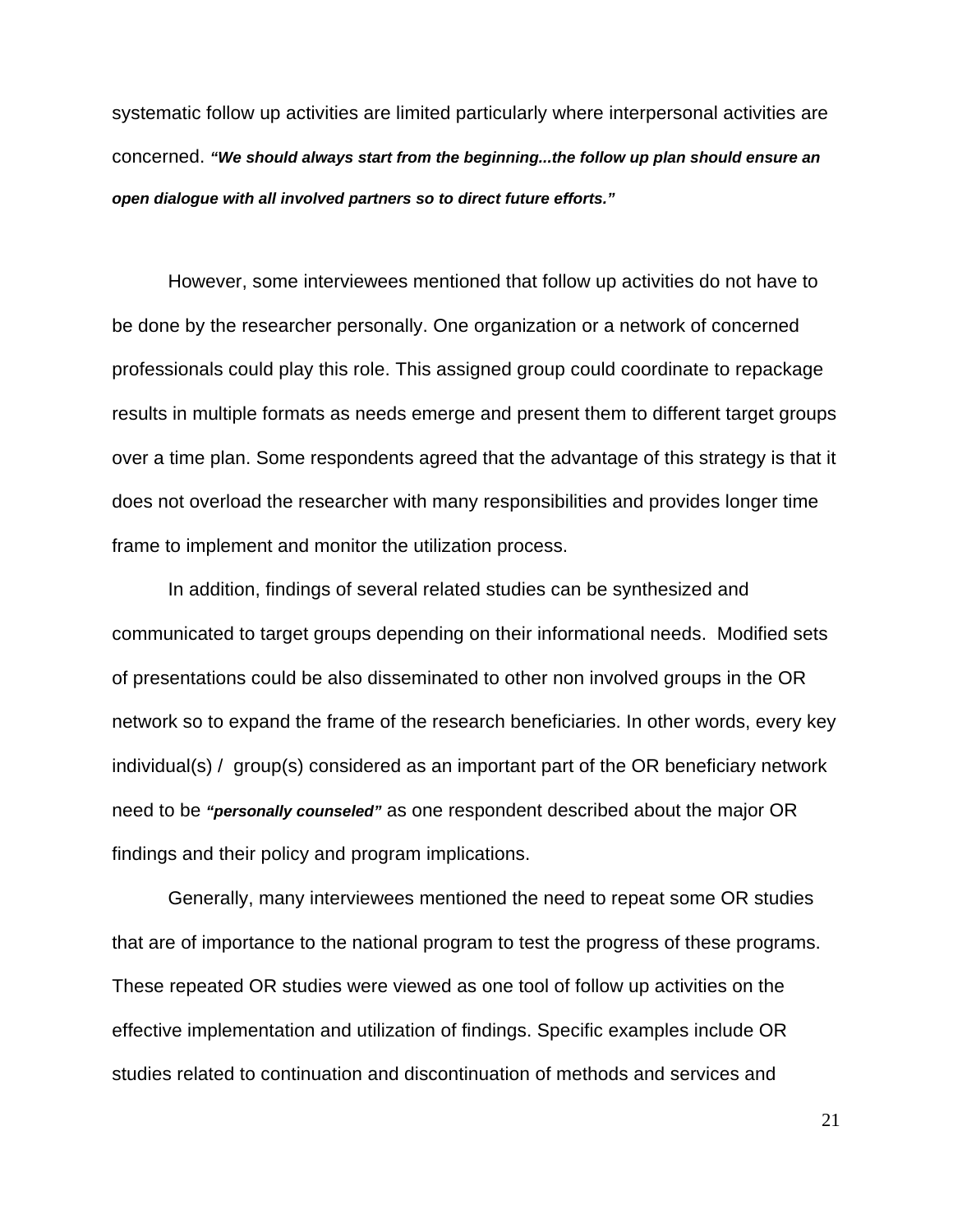systematic follow up activities are limited particularly where interpersonal activities are concerned. *"We should always start from the beginning...the follow up plan should ensure an open dialogue with all involved partners so to direct future efforts."*

However, some interviewees mentioned that follow up activities do not have to be done by the researcher personally. One organization or a network of concerned professionals could play this role. This assigned group could coordinate to repackage results in multiple formats as needs emerge and present them to different target groups over a time plan. Some respondents agreed that the advantage of this strategy is that it does not overload the researcher with many responsibilities and provides longer time frame to implement and monitor the utilization process.

In addition, findings of several related studies can be synthesized and communicated to target groups depending on their informational needs. Modified sets of presentations could be also disseminated to other non involved groups in the OR network so to expand the frame of the research beneficiaries. In other words, every key individual(s) / group(s) considered as an important part of the OR beneficiary network need to be *"personally counseled"* as one respondent described about the major OR findings and their policy and program implications.

Generally, many interviewees mentioned the need to repeat some OR studies that are of importance to the national program to test the progress of these programs. These repeated OR studies were viewed as one tool of follow up activities on the effective implementation and utilization of findings. Specific examples include OR studies related to continuation and discontinuation of methods and services and

21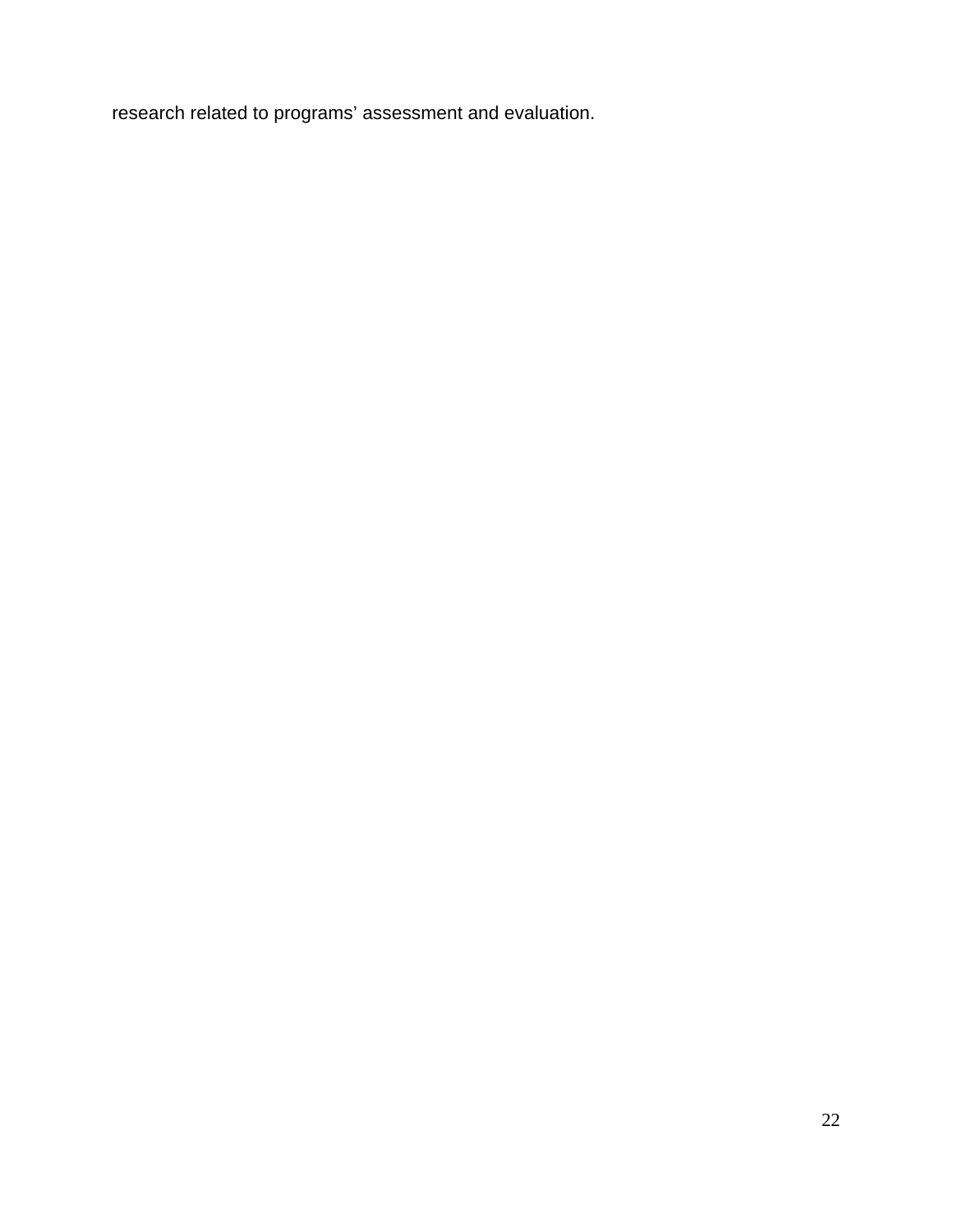research related to programs' assessment and evaluation.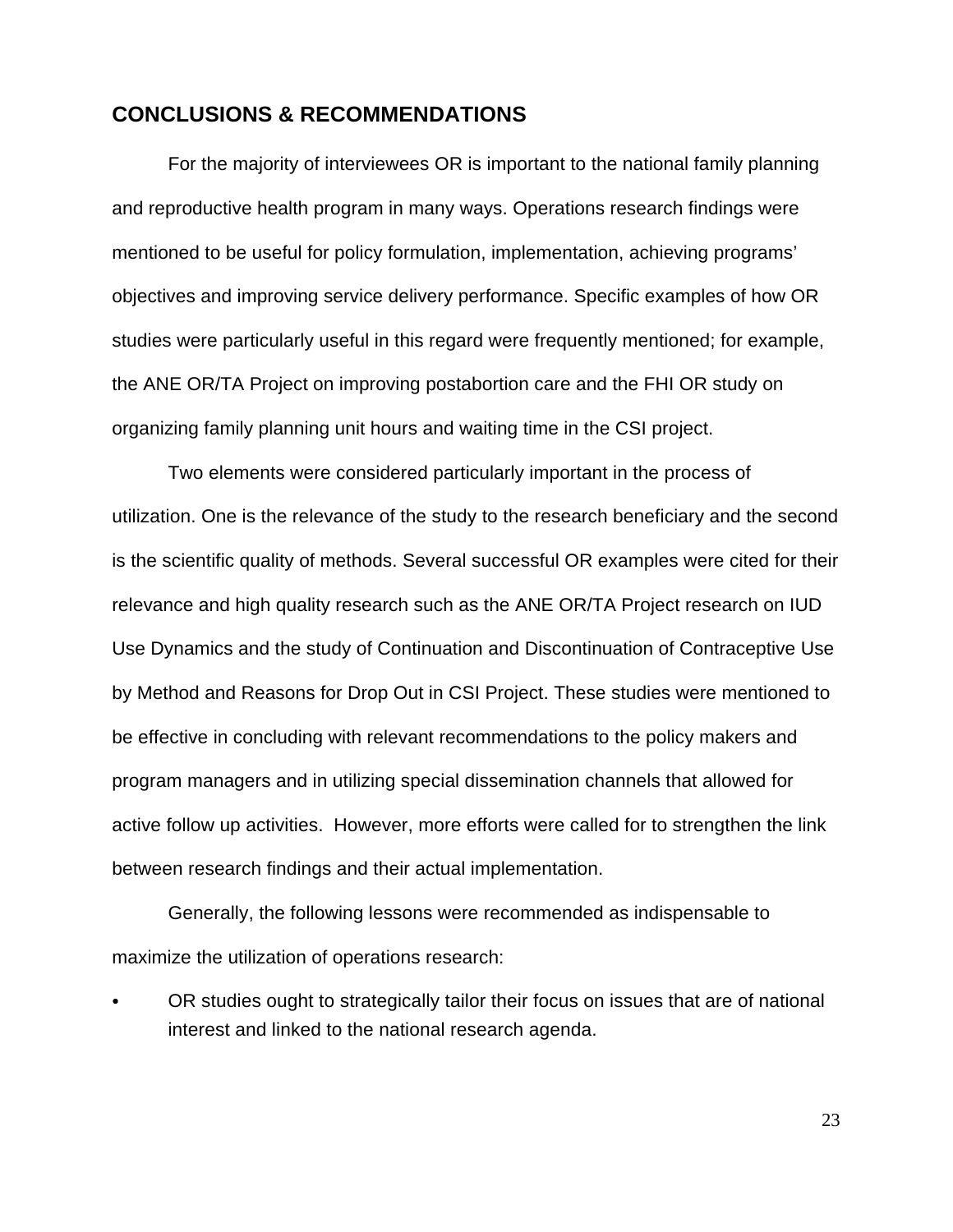### **CONCLUSIONS & RECOMMENDATIONS**

For the majority of interviewees OR is important to the national family planning and reproductive health program in many ways. Operations research findings were mentioned to be useful for policy formulation, implementation, achieving programs' objectives and improving service delivery performance. Specific examples of how OR studies were particularly useful in this regard were frequently mentioned; for example, the ANE OR/TA Project on improving postabortion care and the FHI OR study on organizing family planning unit hours and waiting time in the CSI project.

Two elements were considered particularly important in the process of utilization. One is the relevance of the study to the research beneficiary and the second is the scientific quality of methods. Several successful OR examples were cited for their relevance and high quality research such as the ANE OR/TA Project research on IUD Use Dynamics and the study of Continuation and Discontinuation of Contraceptive Use by Method and Reasons for Drop Out in CSI Project. These studies were mentioned to be effective in concluding with relevant recommendations to the policy makers and program managers and in utilizing special dissemination channels that allowed for active follow up activities. However, more efforts were called for to strengthen the link between research findings and their actual implementation.

Generally, the following lessons were recommended as indispensable to maximize the utilization of operations research:

OR studies ought to strategically tailor their focus on issues that are of national interest and linked to the national research agenda.

23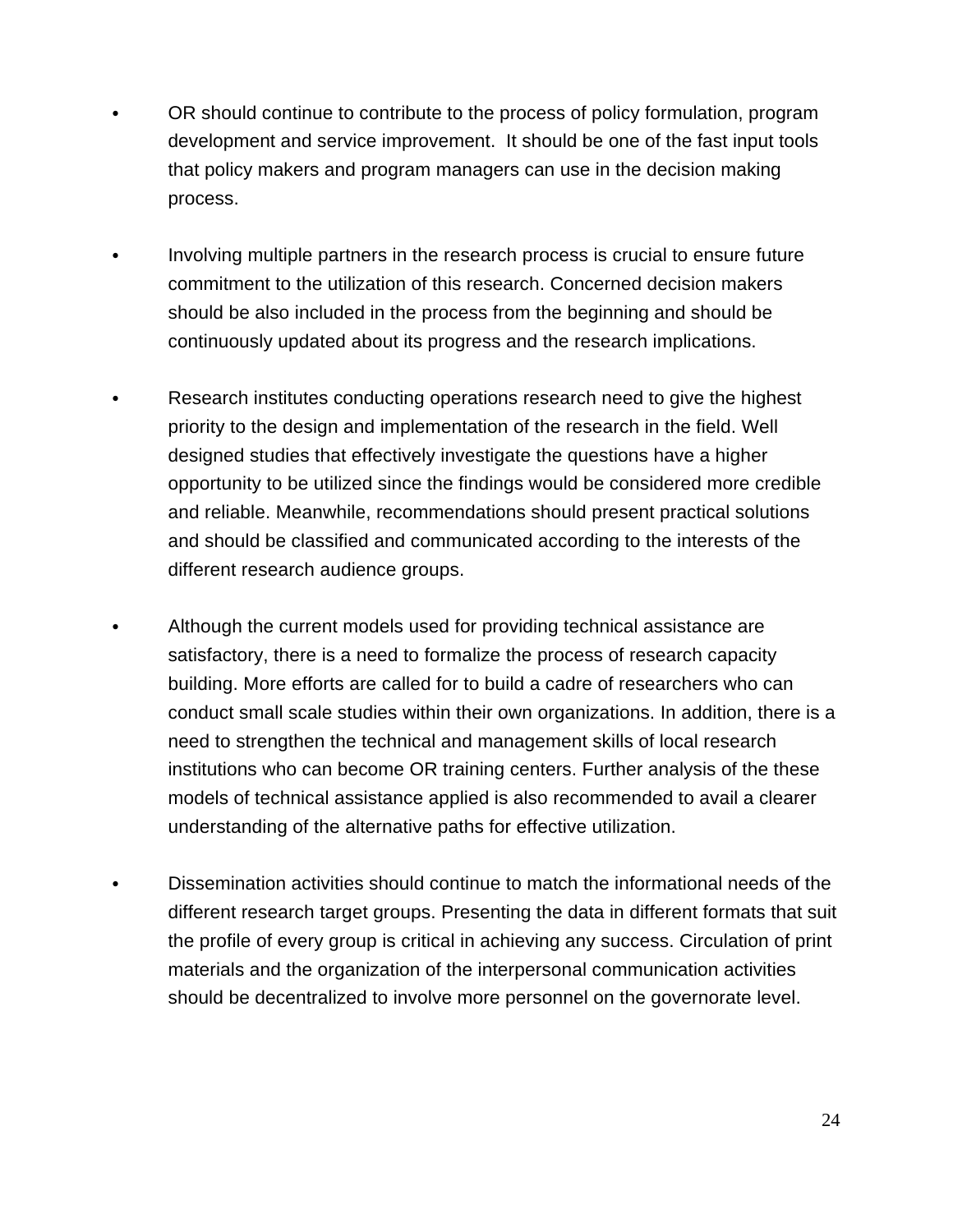- C OR should continue to contribute to the process of policy formulation, program development and service improvement. It should be one of the fast input tools that policy makers and program managers can use in the decision making process.
- Involving multiple partners in the research process is crucial to ensure future commitment to the utilization of this research. Concerned decision makers should be also included in the process from the beginning and should be continuously updated about its progress and the research implications.
- Research institutes conducting operations research need to give the highest priority to the design and implementation of the research in the field. Well designed studies that effectively investigate the questions have a higher opportunity to be utilized since the findings would be considered more credible and reliable. Meanwhile, recommendations should present practical solutions and should be classified and communicated according to the interests of the different research audience groups.
- Although the current models used for providing technical assistance are satisfactory, there is a need to formalize the process of research capacity building. More efforts are called for to build a cadre of researchers who can conduct small scale studies within their own organizations. In addition, there is a need to strengthen the technical and management skills of local research institutions who can become OR training centers. Further analysis of the these models of technical assistance applied is also recommended to avail a clearer understanding of the alternative paths for effective utilization.
- Dissemination activities should continue to match the informational needs of the different research target groups. Presenting the data in different formats that suit the profile of every group is critical in achieving any success. Circulation of print materials and the organization of the interpersonal communication activities should be decentralized to involve more personnel on the governorate level.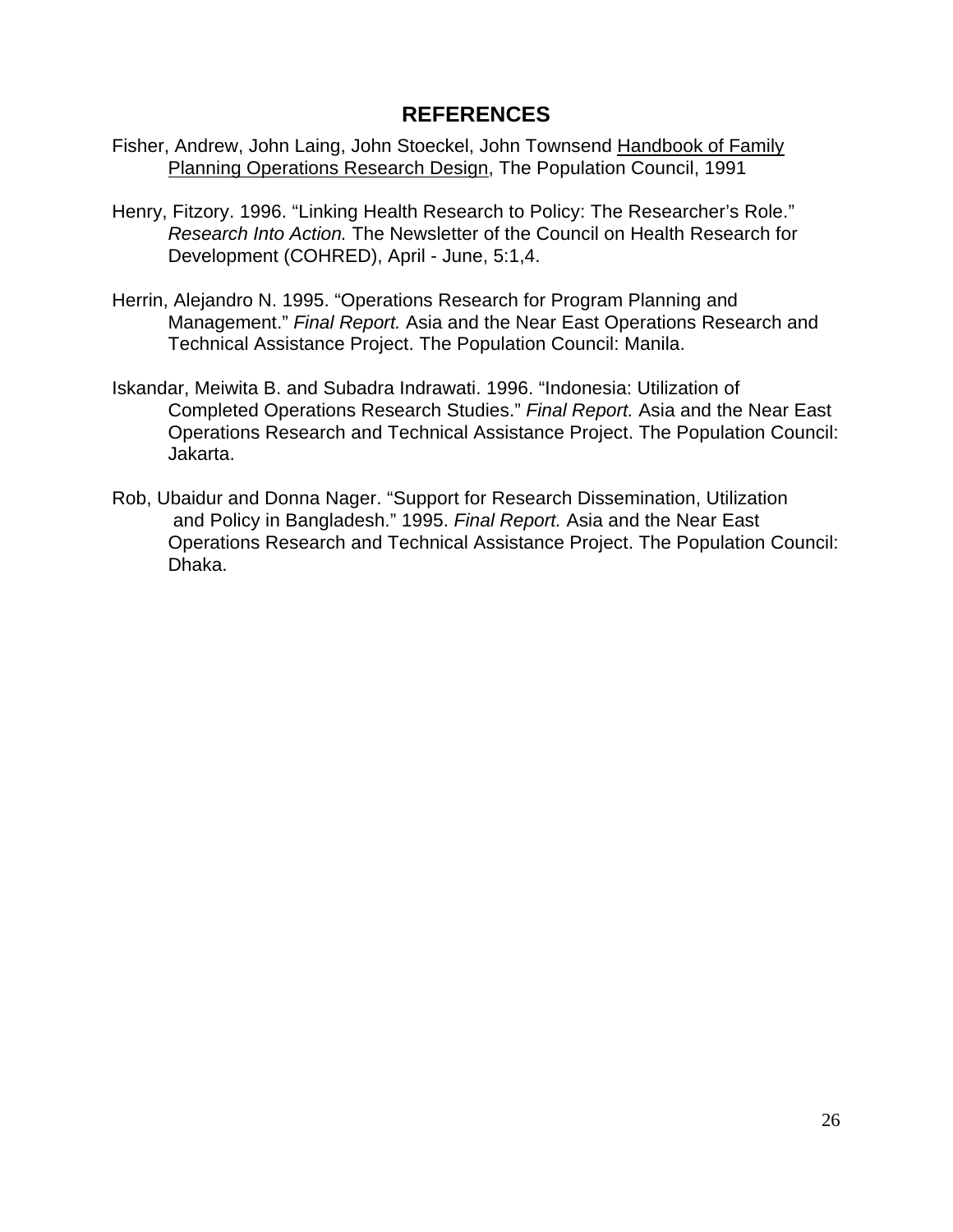## **REFERENCES**

- Fisher, Andrew, John Laing, John Stoeckel, John Townsend Handbook of Family Planning Operations Research Design, The Population Council, 1991
- Henry, Fitzory. 1996. "Linking Health Research to Policy: The Researcher's Role." *Research Into Action.* The Newsletter of the Council on Health Research for Development (COHRED), April - June, 5:1,4.
- Herrin, Alejandro N. 1995. "Operations Research for Program Planning and Management." *Final Report.* Asia and the Near East Operations Research and Technical Assistance Project. The Population Council: Manila.
- Iskandar, Meiwita B. and Subadra Indrawati. 1996. "Indonesia: Utilization of Completed Operations Research Studies." *Final Report.* Asia and the Near East Operations Research and Technical Assistance Project. The Population Council: Jakarta.
- Rob, Ubaidur and Donna Nager. "Support for Research Dissemination, Utilization and Policy in Bangladesh." 1995. *Final Report.* Asia and the Near East Operations Research and Technical Assistance Project. The Population Council: Dhaka.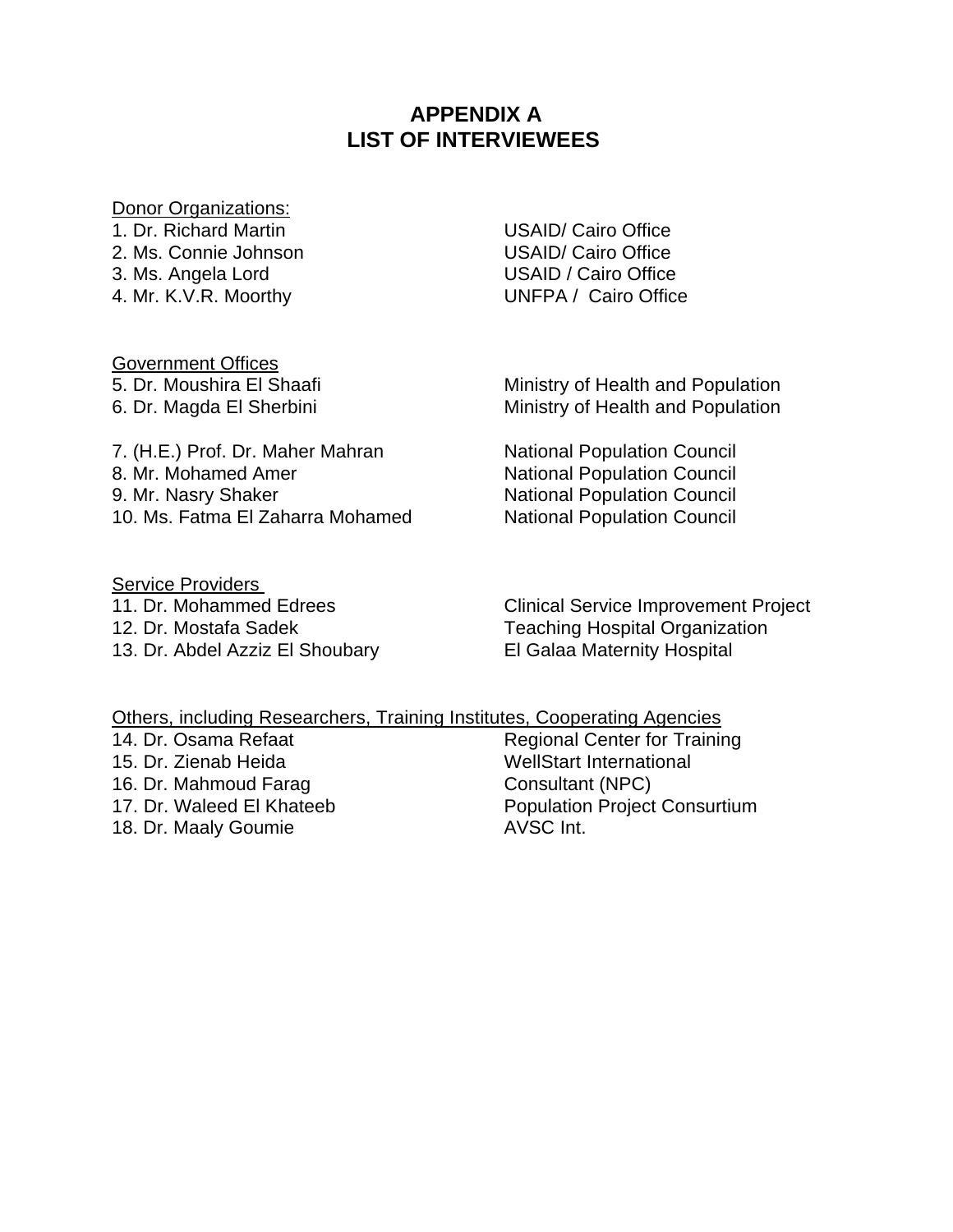# **APPENDIX A LIST OF INTERVIEWEES**

#### Donor Organizations:

1. Dr. Richard Martin USAID/ Cairo Office 2. Ms. Connie Johnson USAID/ Cairo Office 3. Ms. Angela Lord USAID / Cairo Office

4. Mr. K.V.R. Moorthy UNFPA / Cairo Office

Government Offices

5. Dr. Moushira El Shaafi Ministry of Health and Population 6. Dr. Magda El Sherbini **Ministry of Health and Population** 

7. (H.E.) Prof. Dr. Maher Mahran National Population Council 8. Mr. Mohamed Amer National Population Council 9. Mr. Nasry Shaker National Population Council 10. Ms. Fatma El Zaharra Mohamed National Population Council

Service Providers 13. Dr. Abdel Azziz El Shoubary El Galaa Maternity Hospital

11. Dr. Mohammed Edrees **Clinical Service Improvement Project** 12. Dr. Mostafa Sadek Teaching Hospital Organization

### Others, including Researchers, Training Institutes, Cooperating Agencies

15. Dr. Zienab Heida WellStart International 16. Dr. Mahmoud Farag Consultant (NPC) 18. Dr. Maaly Goumie **AVSC** Int.

14. Dr. Osama Refaat Regional Center for Training 17. Dr. Waleed El Khateeb Population Project Consurtium